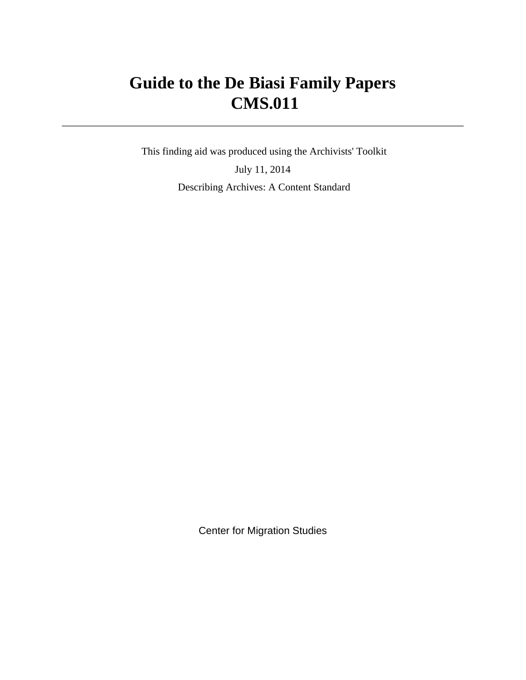# **Guide to the De Biasi Family Papers CMS.011**

 This finding aid was produced using the Archivists' Toolkit July 11, 2014 Describing Archives: A Content Standard

Center for Migration Studies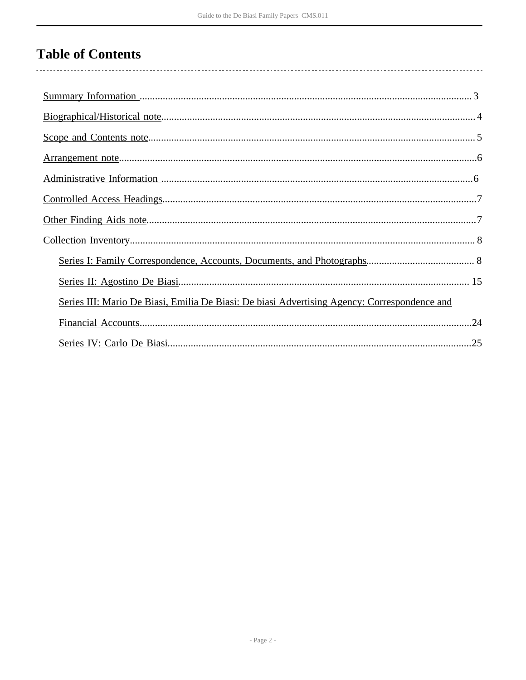# **Table of Contents**

| Series III: Mario De Biasi, Emilia De Biasi: De biasi Advertising Agency: Correspondence and |
|----------------------------------------------------------------------------------------------|
| .24                                                                                          |
|                                                                                              |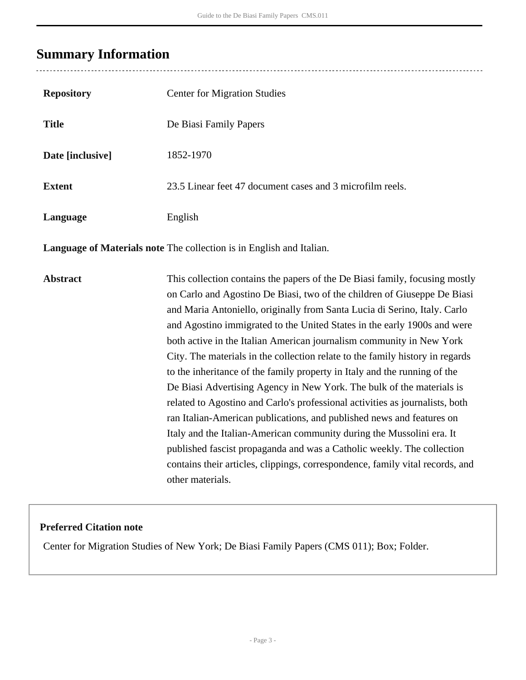# <span id="page-2-0"></span>**Summary Information**

| <b>Repository</b> | <b>Center for Migration Studies</b>                                                                                                                                                                                                                                                                                                                                                                                                                                                                                                                                                                                                                                                                                                                                                                                                                                                                                                                                                                                                              |
|-------------------|--------------------------------------------------------------------------------------------------------------------------------------------------------------------------------------------------------------------------------------------------------------------------------------------------------------------------------------------------------------------------------------------------------------------------------------------------------------------------------------------------------------------------------------------------------------------------------------------------------------------------------------------------------------------------------------------------------------------------------------------------------------------------------------------------------------------------------------------------------------------------------------------------------------------------------------------------------------------------------------------------------------------------------------------------|
| <b>Title</b>      | De Biasi Family Papers                                                                                                                                                                                                                                                                                                                                                                                                                                                                                                                                                                                                                                                                                                                                                                                                                                                                                                                                                                                                                           |
| Date [inclusive]  | 1852-1970                                                                                                                                                                                                                                                                                                                                                                                                                                                                                                                                                                                                                                                                                                                                                                                                                                                                                                                                                                                                                                        |
| <b>Extent</b>     | 23.5 Linear feet 47 document cases and 3 microfilm reels.                                                                                                                                                                                                                                                                                                                                                                                                                                                                                                                                                                                                                                                                                                                                                                                                                                                                                                                                                                                        |
| Language          | English                                                                                                                                                                                                                                                                                                                                                                                                                                                                                                                                                                                                                                                                                                                                                                                                                                                                                                                                                                                                                                          |
|                   | Language of Materials note The collection is in English and Italian.                                                                                                                                                                                                                                                                                                                                                                                                                                                                                                                                                                                                                                                                                                                                                                                                                                                                                                                                                                             |
| <b>Abstract</b>   | This collection contains the papers of the De Biasi family, focusing mostly<br>on Carlo and Agostino De Biasi, two of the children of Giuseppe De Biasi<br>and Maria Antoniello, originally from Santa Lucia di Serino, Italy. Carlo<br>and Agostino immigrated to the United States in the early 1900s and were<br>both active in the Italian American journalism community in New York<br>City. The materials in the collection relate to the family history in regards<br>to the inheritance of the family property in Italy and the running of the<br>De Biasi Advertising Agency in New York. The bulk of the materials is<br>related to Agostino and Carlo's professional activities as journalists, both<br>ran Italian-American publications, and published news and features on<br>Italy and the Italian-American community during the Mussolini era. It<br>published fascist propaganda and was a Catholic weekly. The collection<br>contains their articles, clippings, correspondence, family vital records, and<br>other materials. |

## **Preferred Citation note**

Center for Migration Studies of New York; De Biasi Family Papers (CMS 011); Box; Folder.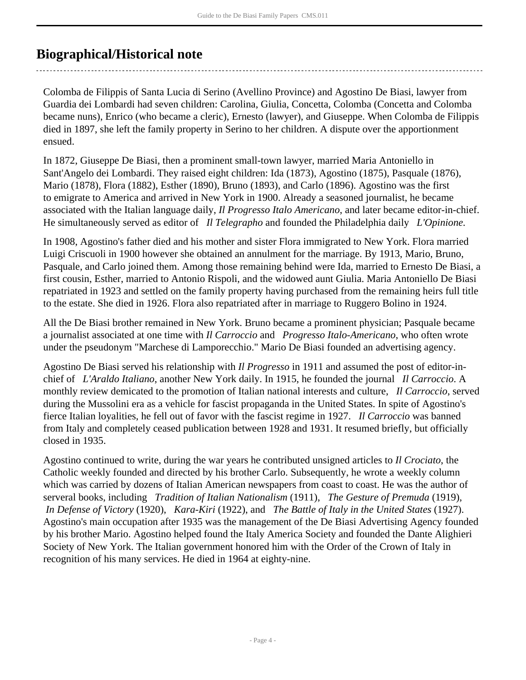## <span id="page-3-0"></span>**Biographical/Historical note**

Colomba de Filippis of Santa Lucia di Serino (Avellino Province) and Agostino De Biasi, lawyer from Guardia dei Lombardi had seven children: Carolina, Giulia, Concetta, Colomba (Concetta and Colomba became nuns), Enrico (who became a cleric), Ernesto (lawyer), and Giuseppe. When Colomba de Filippis died in 1897, she left the family property in Serino to her children. A dispute over the apportionment ensued.

In 1872, Giuseppe De Biasi, then a prominent small-town lawyer, married Maria Antoniello in Sant'Angelo dei Lombardi. They raised eight children: Ida (1873), Agostino (1875), Pasquale (1876), Mario (1878), Flora (1882), Esther (1890), Bruno (1893), and Carlo (1896). Agostino was the first to emigrate to America and arrived in New York in 1900. Already a seasoned journalist, he became associated with the Italian language daily, *Il Progresso Italo Americano*, and later became editor-in-chief. He simultaneously served as editor of *Il Telegrapho* and founded the Philadelphia daily *L'Opinione.*

In 1908, Agostino's father died and his mother and sister Flora immigrated to New York. Flora married Luigi Criscuoli in 1900 however she obtained an annulment for the marriage. By 1913, Mario, Bruno, Pasquale, and Carlo joined them. Among those remaining behind were Ida, married to Ernesto De Biasi, a first cousin, Esther, married to Antonio Rispoli, and the widowed aunt Giulia. Maria Antoniello De Biasi repatriated in 1923 and settled on the family property having purchased from the remaining heirs full title to the estate. She died in 1926. Flora also repatriated after in marriage to Ruggero Bolino in 1924.

All the De Biasi brother remained in New York. Bruno became a prominent physician; Pasquale became a journalist associated at one time with *Il Carroccio* and *Progresso Italo-Americano*, who often wrote under the pseudonym "Marchese di Lamporecchio." Mario De Biasi founded an advertising agency.

Agostino De Biasi served his relationship with *Il Progresso* in 1911 and assumed the post of editor-inchief of *L'Araldo Italiano*, another New York daily. In 1915, he founded the journal *Il Carroccio*. A monthly review demicated to the promotion of Italian national interests and culture, *Il Carroccio*, served during the Mussolini era as a vehicle for fascist propaganda in the United States. In spite of Agostino's fierce Italian loyalities, he fell out of favor with the fascist regime in 1927. *Il Carroccio* was banned from Italy and completely ceased publication between 1928 and 1931. It resumed briefly, but officially closed in 1935.

Agostino continued to write, during the war years he contributed unsigned articles to *Il Crociato*, the Catholic weekly founded and directed by his brother Carlo. Subsequently, he wrote a weekly column which was carried by dozens of Italian American newspapers from coast to coast. He was the author of serveral books, including *Tradition of Italian Nationalism* (1911), *The Gesture of Premuda* (1919),  *In Defense of Victory* (1920), *Kara-Kiri* (1922), and *The Battle of Italy in the United States* (1927). Agostino's main occupation after 1935 was the management of the De Biasi Advertising Agency founded by his brother Mario. Agostino helped found the Italy America Society and founded the Dante Alighieri Society of New York. The Italian government honored him with the Order of the Crown of Italy in recognition of his many services. He died in 1964 at eighty-nine.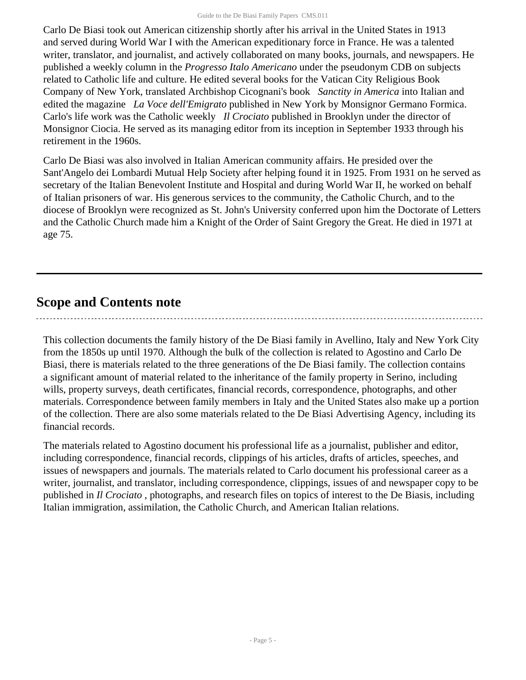Carlo De Biasi took out American citizenship shortly after his arrival in the United States in 1913 and served during World War I with the American expeditionary force in France. He was a talented writer, translator, and journalist, and actively collaborated on many books, journals, and newspapers. He published a weekly column in the *Progresso Italo Americano* under the pseudonym CDB on subjects related to Catholic life and culture. He edited several books for the Vatican City Religious Book Company of New York, translated Archbishop Cicognani's book *Sanctity in America* into Italian and edited the magazine *La Voce dell'Emigrato* published in New York by Monsignor Germano Formica. Carlo's life work was the Catholic weekly *Il Crociato* published in Brooklyn under the director of Monsignor Ciocia. He served as its managing editor from its inception in September 1933 through his retirement in the 1960s.

Carlo De Biasi was also involved in Italian American community affairs. He presided over the Sant'Angelo dei Lombardi Mutual Help Society after helping found it in 1925. From 1931 on he served as secretary of the Italian Benevolent Institute and Hospital and during World War II, he worked on behalf of Italian prisoners of war. His generous services to the community, the Catholic Church, and to the diocese of Brooklyn were recognized as St. John's University conferred upon him the Doctorate of Letters and the Catholic Church made him a Knight of the Order of Saint Gregory the Great. He died in 1971 at age 75.

## <span id="page-4-0"></span>**Scope and Contents note**

This collection documents the family history of the De Biasi family in Avellino, Italy and New York City from the 1850s up until 1970. Although the bulk of the collection is related to Agostino and Carlo De Biasi, there is materials related to the three generations of the De Biasi family. The collection contains a significant amount of material related to the inheritance of the family property in Serino, including wills, property surveys, death certificates, financial records, correspondence, photographs, and other materials. Correspondence between family members in Italy and the United States also make up a portion of the collection. There are also some materials related to the De Biasi Advertising Agency, including its financial records.

The materials related to Agostino document his professional life as a journalist, publisher and editor, including correspondence, financial records, clippings of his articles, drafts of articles, speeches, and issues of newspapers and journals. The materials related to Carlo document his professional career as a writer, journalist, and translator, including correspondence, clippings, issues of and newspaper copy to be published in *Il Crociato* , photographs, and research files on topics of interest to the De Biasis, including Italian immigration, assimilation, the Catholic Church, and American Italian relations.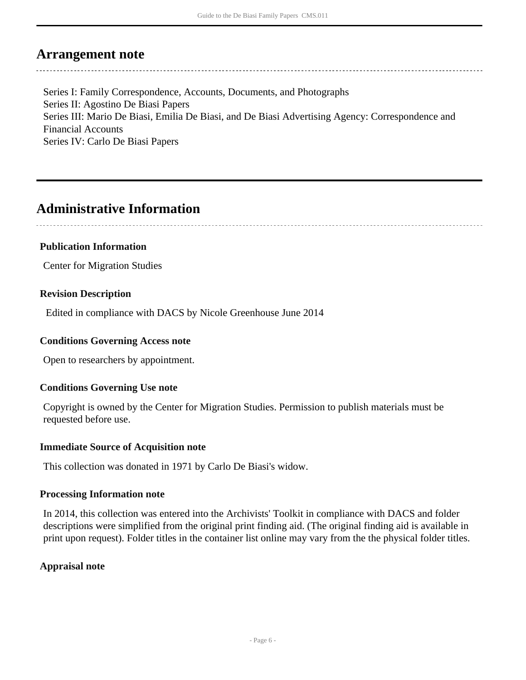## <span id="page-5-0"></span>**Arrangement note**

Series I: Family Correspondence, Accounts, Documents, and Photographs Series II: Agostino De Biasi Papers Series III: Mario De Biasi, Emilia De Biasi, and De Biasi Advertising Agency: Correspondence and Financial Accounts Series IV: Carlo De Biasi Papers

## <span id="page-5-1"></span>**Administrative Information**

## **Publication Information**

Center for Migration Studies

### **Revision Description**

Edited in compliance with DACS by Nicole Greenhouse June 2014

### **Conditions Governing Access note**

Open to researchers by appointment.

## **Conditions Governing Use note**

Copyright is owned by the Center for Migration Studies. Permission to publish materials must be requested before use.

#### **Immediate Source of Acquisition note**

This collection was donated in 1971 by Carlo De Biasi's widow.

#### **Processing Information note**

In 2014, this collection was entered into the Archivists' Toolkit in compliance with DACS and folder descriptions were simplified from the original print finding aid. (The original finding aid is available in print upon request). Folder titles in the container list online may vary from the the physical folder titles.

## **Appraisal note**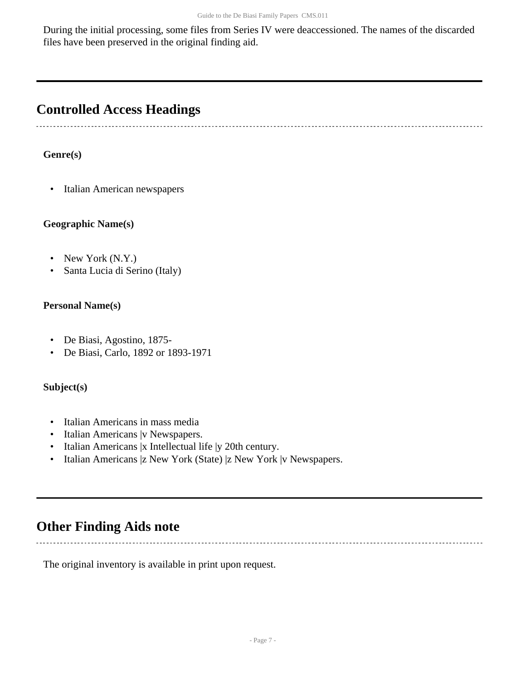During the initial processing, some files from Series IV were deaccessioned. The names of the discarded files have been preserved in the original finding aid.

# <span id="page-6-0"></span>**Controlled Access Headings**

## **Genre(s)**

• Italian American newspapers

### **Geographic Name(s)**

- New York (N.Y.)
- Santa Lucia di Serino (Italy)

### **Personal Name(s)**

- De Biasi, Agostino, 1875-
- De Biasi, Carlo, 1892 or 1893-1971

#### **Subject(s)**

- Italian Americans in mass media
- Italian Americans | v Newspapers.
- Italian Americans |x Intellectual life |y 20th century.
- Italian Americans |z New York (State) |z New York |v Newspapers.

## <span id="page-6-1"></span>**Other Finding Aids note**

The original inventory is available in print upon request.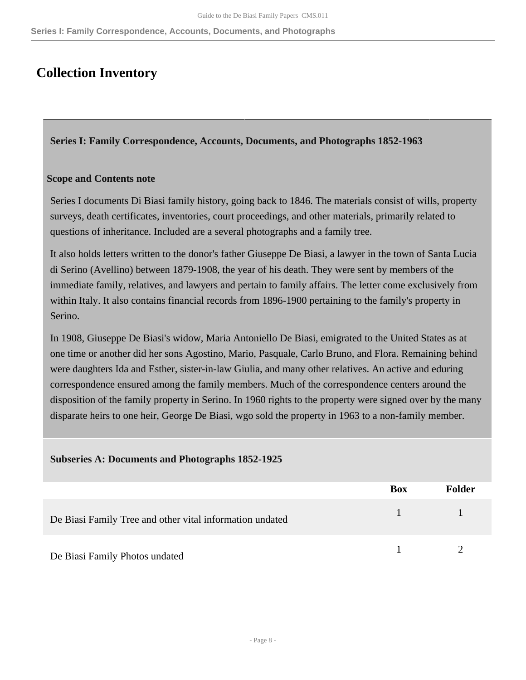**Series I: Family Correspondence, Accounts, Documents, and Photographs**

## <span id="page-7-0"></span>**Collection Inventory**

<span id="page-7-1"></span>**Series I: Family Correspondence, Accounts, Documents, and Photographs 1852-1963** 

#### **Scope and Contents note**

Series I documents Di Biasi family history, going back to 1846. The materials consist of wills, property surveys, death certificates, inventories, court proceedings, and other materials, primarily related to questions of inheritance. Included are a several photographs and a family tree.

It also holds letters written to the donor's father Giuseppe De Biasi, a lawyer in the town of Santa Lucia di Serino (Avellino) between 1879-1908, the year of his death. They were sent by members of the immediate family, relatives, and lawyers and pertain to family affairs. The letter come exclusively from within Italy. It also contains financial records from 1896-1900 pertaining to the family's property in Serino.

In 1908, Giuseppe De Biasi's widow, Maria Antoniello De Biasi, emigrated to the United States as at one time or another did her sons Agostino, Mario, Pasquale, Carlo Bruno, and Flora. Remaining behind were daughters Ida and Esther, sister-in-law Giulia, and many other relatives. An active and eduring correspondence ensured among the family members. Much of the correspondence centers around the disposition of the family property in Serino. In 1960 rights to the property were signed over by the many disparate heirs to one heir, George De Biasi, wgo sold the property in 1963 to a non-family member.

#### **Subseries A: Documents and Photographs 1852-1925**

|                                                          | Box  | <b>Folder</b> |
|----------------------------------------------------------|------|---------------|
| De Biasi Family Tree and other vital information undated | $-1$ |               |
| De Biasi Family Photos undated                           |      |               |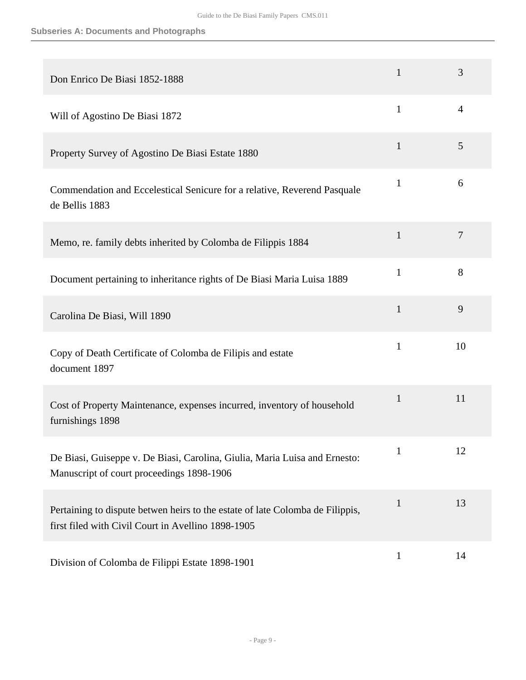| Don Enrico De Biasi 1852-1888                                                                                                       | 1            | 3              |
|-------------------------------------------------------------------------------------------------------------------------------------|--------------|----------------|
| Will of Agostino De Biasi 1872                                                                                                      | $\mathbf{1}$ | 4              |
| Property Survey of Agostino De Biasi Estate 1880                                                                                    | $\mathbf{1}$ | 5              |
| Commendation and Eccelestical Senicure for a relative, Reverend Pasquale<br>de Bellis 1883                                          | $\mathbf{1}$ | 6              |
| Memo, re. family debts inherited by Colomba de Filippis 1884                                                                        | $\mathbf{1}$ | $\overline{7}$ |
| Document pertaining to inheritance rights of De Biasi Maria Luisa 1889                                                              | $\mathbf{1}$ | 8              |
| Carolina De Biasi, Will 1890                                                                                                        | $\mathbf{1}$ | 9              |
| Copy of Death Certificate of Colomba de Filipis and estate<br>document 1897                                                         | $\mathbf{1}$ | 10             |
| Cost of Property Maintenance, expenses incurred, inventory of household<br>furnishings 1898                                         | $\mathbf{1}$ | 11             |
| De Biasi, Guiseppe v. De Biasi, Carolina, Giulia, Maria Luisa and Ernesto:<br>Manuscript of court proceedings 1898-1906             | $\mathbf{1}$ | 12             |
| Pertaining to dispute betwen heirs to the estate of late Colomba de Filippis,<br>first filed with Civil Court in Avellino 1898-1905 | $\mathbf{1}$ | 13             |
| Division of Colomba de Filippi Estate 1898-1901                                                                                     | $\mathbf{1}$ | 14             |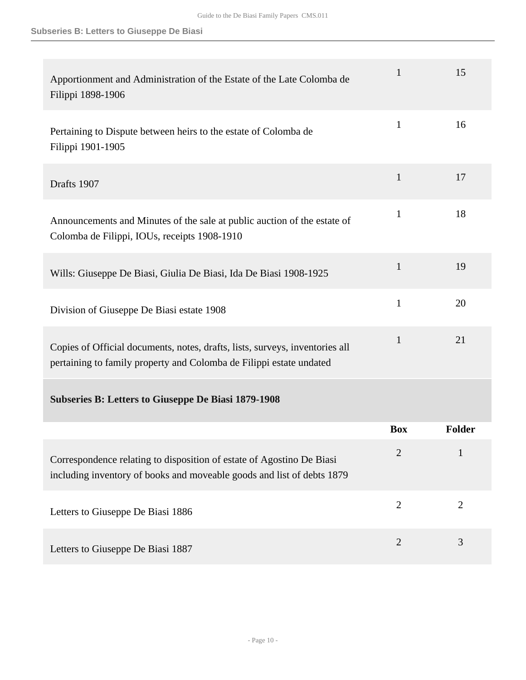| Apportionment and Administration of the Estate of the Late Colomba de<br>Filippi 1898-1906                                                          | $\mathbf{1}$   | 15             |
|-----------------------------------------------------------------------------------------------------------------------------------------------------|----------------|----------------|
| Pertaining to Dispute between heirs to the estate of Colomba de<br>Filippi 1901-1905                                                                | $\mathbf{1}$   | 16             |
| Drafts 1907                                                                                                                                         | $\mathbf{1}$   | 17             |
| Announcements and Minutes of the sale at public auction of the estate of<br>Colomba de Filippi, IOUs, receipts 1908-1910                            | 1              | 18             |
| Wills: Giuseppe De Biasi, Giulia De Biasi, Ida De Biasi 1908-1925                                                                                   | $\mathbf{1}$   | 19             |
| Division of Giuseppe De Biasi estate 1908                                                                                                           | 1              | 20             |
| Copies of Official documents, notes, drafts, lists, surveys, inventories all<br>pertaining to family property and Colomba de Filippi estate undated | $\mathbf{1}$   | 21             |
| <b>Subseries B: Letters to Giuseppe De Biasi 1879-1908</b>                                                                                          |                |                |
|                                                                                                                                                     | <b>Box</b>     | <b>Folder</b>  |
| Correspondence relating to disposition of estate of Agostino De Biasi<br>including inventory of books and moveable goods and list of debts 1879     | $\overline{2}$ | $\mathbf{1}$   |
| Letters to Giuseppe De Biasi 1886                                                                                                                   | $\overline{2}$ | $\overline{2}$ |
| Letters to Giuseppe De Biasi 1887                                                                                                                   | $\overline{2}$ | 3              |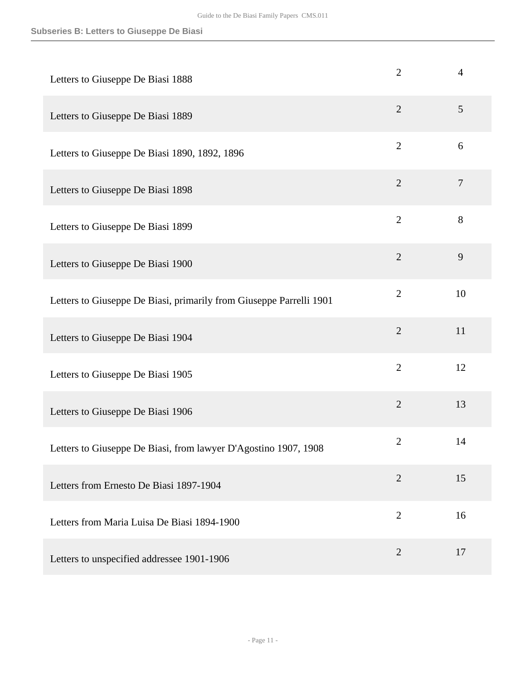### **Subseries B: Letters to Giuseppe De Biasi**

| Letters to Giuseppe De Biasi 1888                                   | $\overline{2}$ | $\overline{4}$ |
|---------------------------------------------------------------------|----------------|----------------|
| Letters to Giuseppe De Biasi 1889                                   | $\overline{2}$ | 5              |
| Letters to Giuseppe De Biasi 1890, 1892, 1896                       | $\overline{2}$ | 6              |
| Letters to Giuseppe De Biasi 1898                                   | $\overline{2}$ | $\tau$         |
| Letters to Giuseppe De Biasi 1899                                   | $\overline{2}$ | 8              |
| Letters to Giuseppe De Biasi 1900                                   | $\overline{2}$ | 9              |
| Letters to Giuseppe De Biasi, primarily from Giuseppe Parrelli 1901 | $\overline{2}$ | 10             |
| Letters to Giuseppe De Biasi 1904                                   | $\overline{2}$ | 11             |
| Letters to Giuseppe De Biasi 1905                                   | $\overline{2}$ | 12             |
| Letters to Giuseppe De Biasi 1906                                   | $\overline{2}$ | 13             |
| Letters to Giuseppe De Biasi, from lawyer D'Agostino 1907, 1908     | 2              | 14             |
| Letters from Ernesto De Biasi 1897-1904                             | $\overline{2}$ | 15             |
| Letters from Maria Luisa De Biasi 1894-1900                         | $\mathbf{2}$   | 16             |
| Letters to unspecified addressee 1901-1906                          | $\overline{2}$ | 17             |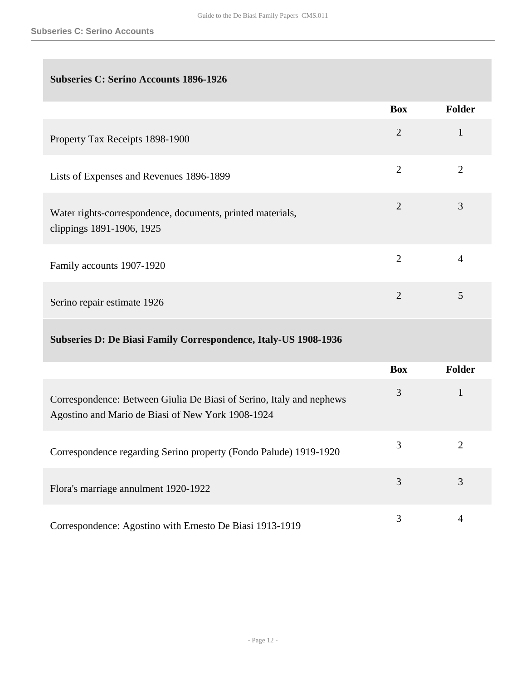## **Subseries C: Serino Accounts 1896-1926**

|                                                                                         | <b>Box</b>     | <b>Folder</b>  |
|-----------------------------------------------------------------------------------------|----------------|----------------|
| Property Tax Receipts 1898-1900                                                         | $\overline{2}$ | $\mathbf{1}$   |
| Lists of Expenses and Revenues 1896-1899                                                | $\overline{2}$ | $\overline{2}$ |
| Water rights-correspondence, documents, printed materials,<br>clippings 1891-1906, 1925 | $\overline{2}$ | 3              |
| Family accounts 1907-1920                                                               | $\overline{2}$ | 4              |
| Serino repair estimate 1926                                                             | $\overline{2}$ | 5              |
| Subseries D: De Biasi Family Correspondence, Italy-US 1908-1936                         |                |                |
|                                                                                         | <b>Box</b>     | <b>Folder</b>  |
|                                                                                         | $\mathbf{R}$   | $\mathbf{1}$   |

| Correspondence: Between Giulia De Biasi of Serino, Italy and nephews<br>Agostino and Mario de Biasi of New York 1908-1924 |   |  |
|---------------------------------------------------------------------------------------------------------------------------|---|--|
| Correspondence regarding Serino property (Fondo Palude) 1919-1920                                                         |   |  |
| Flora's marriage annulment 1920-1922                                                                                      | 3 |  |
| Correspondence: Agostino with Ernesto De Biasi 1913-1919                                                                  |   |  |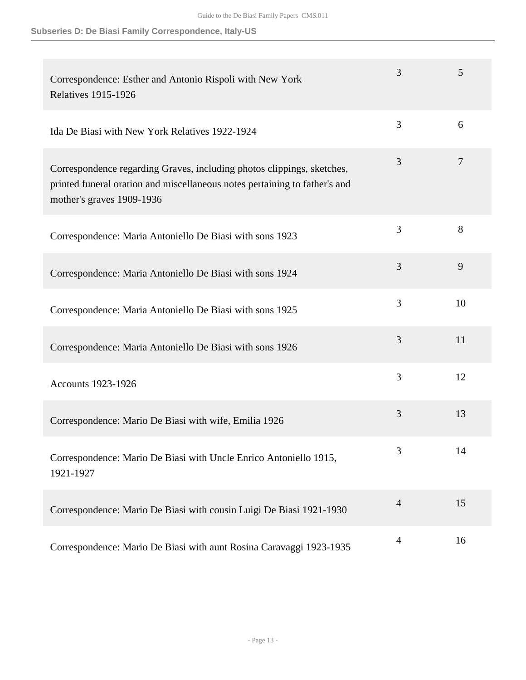**Subseries D: De Biasi Family Correspondence, Italy-US**

| Correspondence: Esther and Antonio Rispoli with New York<br><b>Relatives 1915-1926</b>                                                                                            | 3              | 5              |
|-----------------------------------------------------------------------------------------------------------------------------------------------------------------------------------|----------------|----------------|
| Ida De Biasi with New York Relatives 1922-1924                                                                                                                                    | 3              | 6              |
| Correspondence regarding Graves, including photos clippings, sketches,<br>printed funeral oration and miscellaneous notes pertaining to father's and<br>mother's graves 1909-1936 | 3              | $\overline{7}$ |
| Correspondence: Maria Antoniello De Biasi with sons 1923                                                                                                                          | 3              | 8              |
| Correspondence: Maria Antoniello De Biasi with sons 1924                                                                                                                          | 3              | 9              |
| Correspondence: Maria Antoniello De Biasi with sons 1925                                                                                                                          | 3              | 10             |
| Correspondence: Maria Antoniello De Biasi with sons 1926                                                                                                                          | 3              | 11             |
| <b>Accounts 1923-1926</b>                                                                                                                                                         | 3              | 12             |
| Correspondence: Mario De Biasi with wife, Emilia 1926                                                                                                                             | 3              | 13             |
| Correspondence: Mario De Biasi with Uncle Enrico Antoniello 1915,<br>1921-1927                                                                                                    | 3              | 14             |
| Correspondence: Mario De Biasi with cousin Luigi De Biasi 1921-1930                                                                                                               | $\overline{4}$ | 15             |
| Correspondence: Mario De Biasi with aunt Rosina Caravaggi 1923-1935                                                                                                               | $\overline{4}$ | 16             |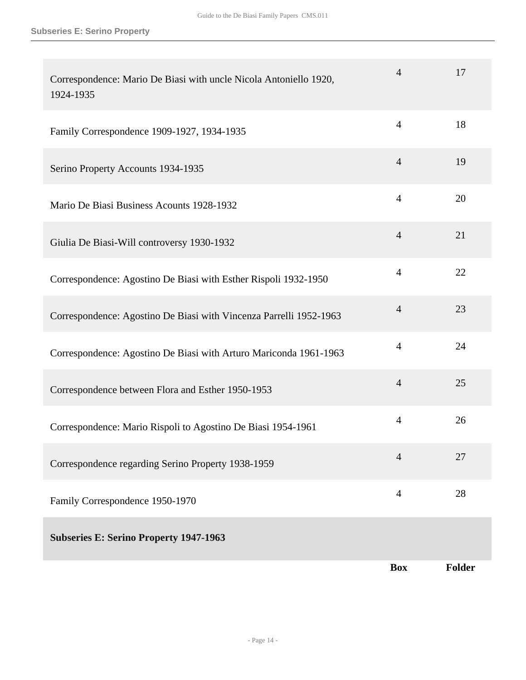| Correspondence: Mario De Biasi with uncle Nicola Antoniello 1920,<br>1924-1935 | $\overline{4}$ | 17            |
|--------------------------------------------------------------------------------|----------------|---------------|
| Family Correspondence 1909-1927, 1934-1935                                     | $\overline{4}$ | 18            |
| Serino Property Accounts 1934-1935                                             | $\overline{4}$ | 19            |
| Mario De Biasi Business Acounts 1928-1932                                      | $\overline{4}$ | 20            |
| Giulia De Biasi-Will controversy 1930-1932                                     | $\overline{4}$ | 21            |
| Correspondence: Agostino De Biasi with Esther Rispoli 1932-1950                | $\overline{4}$ | 22            |
| Correspondence: Agostino De Biasi with Vincenza Parrelli 1952-1963             | $\overline{4}$ | 23            |
| Correspondence: Agostino De Biasi with Arturo Mariconda 1961-1963              | $\overline{4}$ | 24            |
| Correspondence between Flora and Esther 1950-1953                              | $\overline{4}$ | 25            |
| Correspondence: Mario Rispoli to Agostino De Biasi 1954-1961                   | $\overline{4}$ | 26            |
| Correspondence regarding Serino Property 1938-1959                             | $\overline{4}$ | 27            |
| Family Correspondence 1950-1970                                                | $\overline{4}$ | 28            |
| <b>Subseries E: Serino Property 1947-1963</b>                                  |                |               |
|                                                                                | <b>Box</b>     | <b>Folder</b> |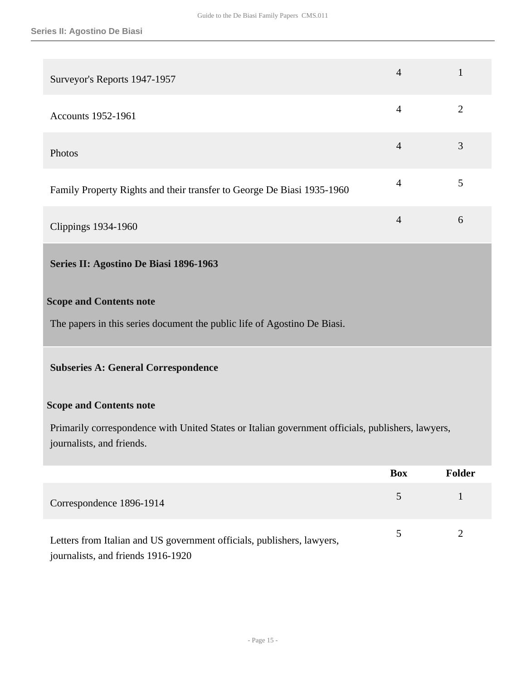<span id="page-14-0"></span>

| Surveyor's Reports 1947-1957                                                                                                   | $\overline{4}$ | $\mathbf{1}$   |
|--------------------------------------------------------------------------------------------------------------------------------|----------------|----------------|
| Accounts 1952-1961                                                                                                             | $\overline{4}$ | $\overline{2}$ |
| Photos                                                                                                                         | $\overline{4}$ | 3              |
| Family Property Rights and their transfer to George De Biasi 1935-1960                                                         | $\overline{4}$ | 5              |
| <b>Clippings 1934-1960</b>                                                                                                     | $\overline{4}$ | 6              |
| Series II: Agostino De Biasi 1896-1963                                                                                         |                |                |
| <b>Scope and Contents note</b>                                                                                                 |                |                |
| The papers in this series document the public life of Agostino De Biasi.                                                       |                |                |
| <b>Subseries A: General Correspondence</b>                                                                                     |                |                |
| <b>Scope and Contents note</b>                                                                                                 |                |                |
| Primarily correspondence with United States or Italian government officials, publishers, lawyers,<br>journalists, and friends. |                |                |
|                                                                                                                                | <b>Box</b>     | <b>Folder</b>  |
| Correspondence 1896-1914                                                                                                       | 5              | $\mathbf{1}$   |
| Letters from Italian and US government officials, publishers, lawyers,<br>journalists, and friends 1916-1920                   | 5              | $\overline{2}$ |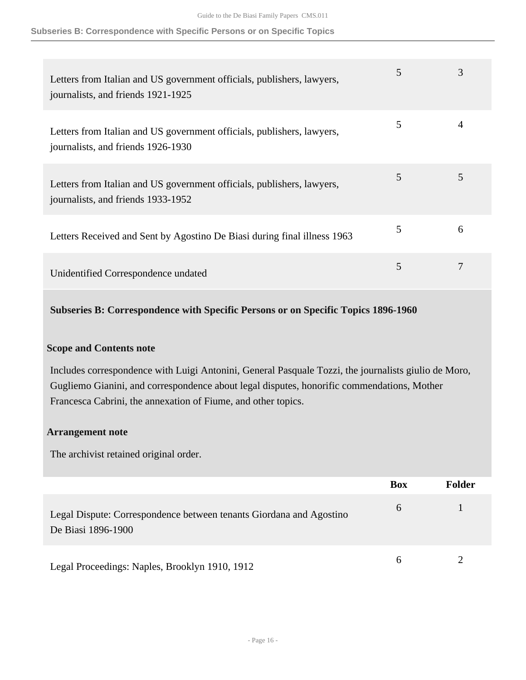#### **Subseries B: Correspondence with Specific Persons or on Specific Topics**

| Letters from Italian and US government officials, publishers, lawyers,<br>journalists, and friends 1921-1925 | 5 | 3 |
|--------------------------------------------------------------------------------------------------------------|---|---|
| Letters from Italian and US government officials, publishers, lawyers,<br>journalists, and friends 1926-1930 | 5 |   |
| Letters from Italian and US government officials, publishers, lawyers,<br>journalists, and friends 1933-1952 | 5 | 5 |
| Letters Received and Sent by Agostino De Biasi during final illness 1963                                     | 5 | 6 |
| Unidentified Correspondence undated                                                                          | 5 |   |

**Subseries B: Correspondence with Specific Persons or on Specific Topics 1896-1960** 

#### **Scope and Contents note**

Includes correspondence with Luigi Antonini, General Pasquale Tozzi, the journalists giulio de Moro, Gugliemo Gianini, and correspondence about legal disputes, honorific commendations, Mother Francesca Cabrini, the annexation of Fiume, and other topics.

#### **Arrangement note**

The archivist retained original order.

|                                                                                           | <b>Box</b> | <b>Folder</b> |
|-------------------------------------------------------------------------------------------|------------|---------------|
| Legal Dispute: Correspondence between tenants Giordana and Agostino<br>De Biasi 1896-1900 | 6          |               |
| Legal Proceedings: Naples, Brooklyn 1910, 1912                                            | 6          |               |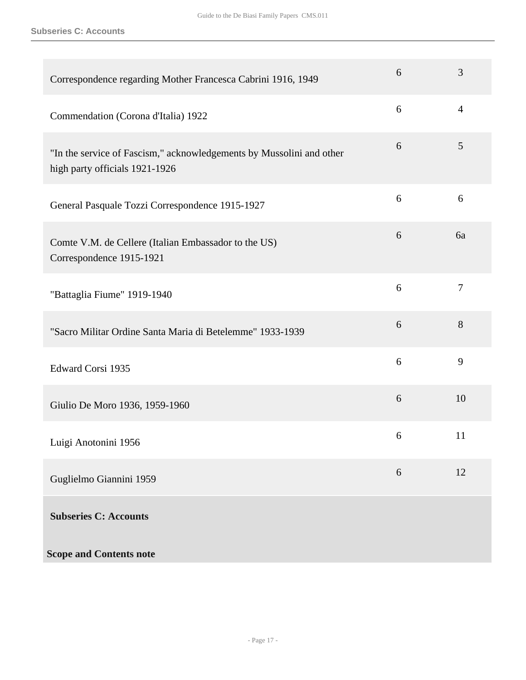**Subseries C: Accounts**

| Correspondence regarding Mother Francesca Cabrini 1916, 1949                                           | 6 | 3              |
|--------------------------------------------------------------------------------------------------------|---|----------------|
| Commendation (Corona d'Italia) 1922                                                                    | 6 | $\overline{4}$ |
| "In the service of Fascism," acknowledgements by Mussolini and other<br>high party officials 1921-1926 | 6 | 5              |
| General Pasquale Tozzi Correspondence 1915-1927                                                        | 6 | 6              |
| Comte V.M. de Cellere (Italian Embassador to the US)<br>Correspondence 1915-1921                       | 6 | 6a             |
| "Battaglia Fiume" 1919-1940                                                                            | 6 | $\tau$         |
| "Sacro Militar Ordine Santa Maria di Betelemme" 1933-1939                                              | 6 | 8              |
| Edward Corsi 1935                                                                                      | 6 | 9              |
| Giulio De Moro 1936, 1959-1960                                                                         | 6 | 10             |
| Luigi Anotonini 1956                                                                                   | 6 | 11             |
| Guglielmo Giannini 1959                                                                                | 6 | 12             |
| <b>Subseries C: Accounts</b>                                                                           |   |                |
| <b>Scope and Contents note</b>                                                                         |   |                |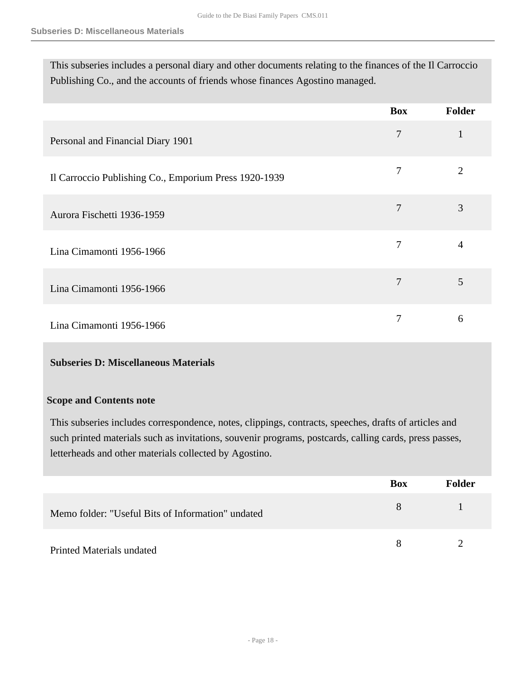This subseries includes a personal diary and other documents relating to the finances of the Il Carroccio Publishing Co., and the accounts of friends whose finances Agostino managed.

|                                                       | <b>Box</b> | Folder         |
|-------------------------------------------------------|------------|----------------|
| Personal and Financial Diary 1901                     | 7          | 1              |
| Il Carroccio Publishing Co., Emporium Press 1920-1939 | 7          | $\overline{2}$ |
| Aurora Fischetti 1936-1959                            | 7          | 3              |
| Lina Cimamonti 1956-1966                              | 7          | $\overline{4}$ |
| Lina Cimamonti 1956-1966                              | 7          | 5              |
| Lina Cimamonti 1956-1966                              | 7          | 6              |

#### **Subseries D: Miscellaneous Materials**

#### **Scope and Contents note**

This subseries includes correspondence, notes, clippings, contracts, speeches, drafts of articles and such printed materials such as invitations, souvenir programs, postcards, calling cards, press passes, letterheads and other materials collected by Agostino.

|                                                   | <b>Box</b> | <b>Folder</b> |
|---------------------------------------------------|------------|---------------|
| Memo folder: "Useful Bits of Information" undated | 8          |               |
| Printed Materials undated                         | 8          |               |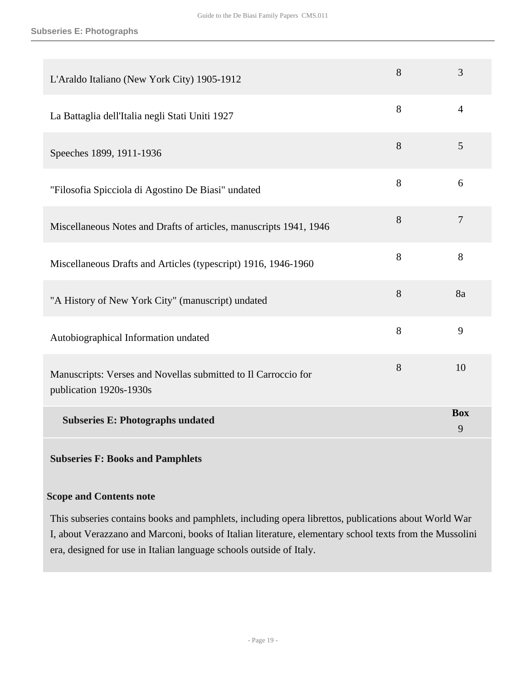| L'Araldo Italiano (New York City) 1905-1912                                               | 8 | 3               |
|-------------------------------------------------------------------------------------------|---|-----------------|
| La Battaglia dell'Italia negli Stati Uniti 1927                                           | 8 | $\overline{4}$  |
| Speeches 1899, 1911-1936                                                                  | 8 | 5               |
| "Filosofia Spicciola di Agostino De Biasi" undated                                        | 8 | 6               |
| Miscellaneous Notes and Drafts of articles, manuscripts 1941, 1946                        | 8 | $\overline{7}$  |
| Miscellaneous Drafts and Articles (typescript) 1916, 1946-1960                            | 8 | 8               |
| "A History of New York City" (manuscript) undated                                         | 8 | 8a              |
| Autobiographical Information undated                                                      | 8 | 9               |
| Manuscripts: Verses and Novellas submitted to Il Carroccio for<br>publication 1920s-1930s | 8 | 10              |
| <b>Subseries E: Photographs undated</b>                                                   |   | <b>Box</b><br>9 |

## **Subseries F: Books and Pamphlets**

#### **Scope and Contents note**

This subseries contains books and pamphlets, including opera librettos, publications about World War I, about Verazzano and Marconi, books of Italian literature, elementary school texts from the Mussolini era, designed for use in Italian language schools outside of Italy.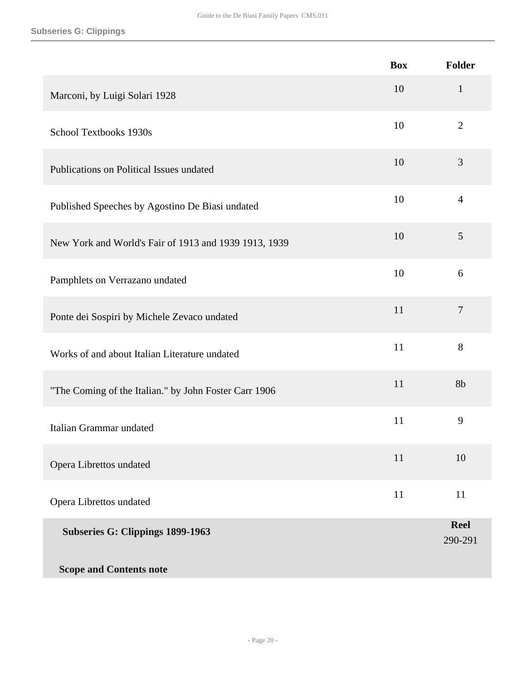|                                                       | <b>Box</b> | Folder                 |
|-------------------------------------------------------|------------|------------------------|
| Marconi, by Luigi Solari 1928                         | 10         | $\mathbf{1}$           |
| <b>School Textbooks 1930s</b>                         | 10         | $\overline{2}$         |
| Publications on Political Issues undated              | 10         | 3                      |
| Published Speeches by Agostino De Biasi undated       | 10         | $\overline{4}$         |
| New York and World's Fair of 1913 and 1939 1913, 1939 | 10         | 5                      |
| Pamphlets on Verrazano undated                        | 10         | 6                      |
| Ponte dei Sospiri by Michele Zevaco undated           | 11         | $\overline{7}$         |
| Works of and about Italian Literature undated         | 11         | $8\,$                  |
| "The Coming of the Italian." by John Foster Carr 1906 | 11         | 8b                     |
| Italian Grammar undated                               | 11         | 9                      |
| Opera Librettos undated                               | 11         | 10                     |
| Opera Librettos undated                               | 11         | 11                     |
| Subseries G: Clippings 1899-1963                      |            | <b>Reel</b><br>290-291 |
| <b>Scope and Contents note</b>                        |            |                        |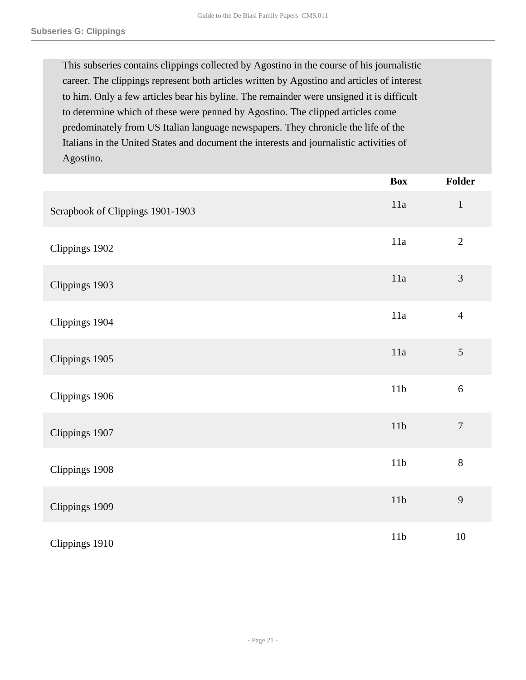This subseries contains clippings collected by Agostino in the course of his journalistic career. The clippings represent both articles written by Agostino and articles of interest to him. Only a few articles bear his byline. The remainder were unsigned it is difficult to determine which of these were penned by Agostino. The clipped articles come predominately from US Italian language newspapers. They chronicle the life of the Italians in the United States and document the interests and journalistic activities of Agostino.

|                                  | <b>Box</b>      | Folder         |
|----------------------------------|-----------------|----------------|
| Scrapbook of Clippings 1901-1903 | 11a             | $1\,$          |
| Clippings 1902                   | $11a$           | $\sqrt{2}$     |
| Clippings 1903                   | 11a             | $\mathfrak{Z}$ |
| Clippings 1904                   | 11a             | $\overline{4}$ |
| Clippings 1905                   | 11a             | $\mathfrak{S}$ |
| Clippings 1906                   | $11b$           | $\sqrt{6}$     |
| Clippings 1907                   | 11b             | $\overline{7}$ |
| Clippings 1908                   | 11 <sub>b</sub> | $8\,$          |
| Clippings 1909                   | 11b             | $\mathbf{9}$   |
| Clippings 1910                   | 11 <sub>b</sub> | $10\,$         |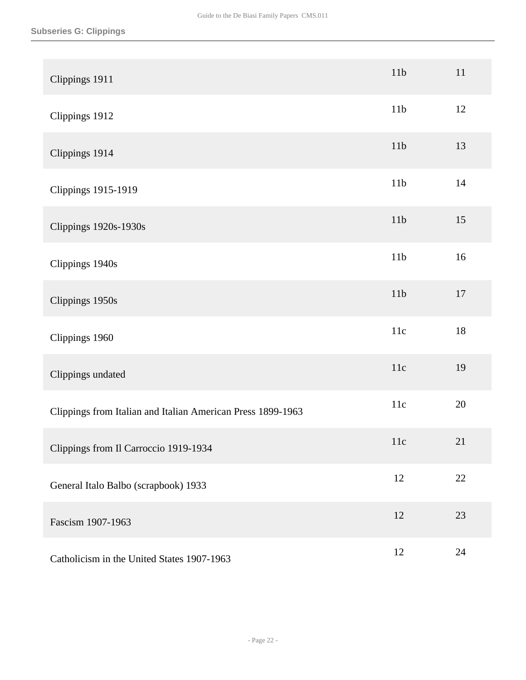| Clippings 1911                                              | 11 <sub>b</sub> | 11   |
|-------------------------------------------------------------|-----------------|------|
| Clippings 1912                                              | 11 <sub>b</sub> | 12   |
| Clippings 1914                                              | 11b             | 13   |
| <b>Clippings 1915-1919</b>                                  | 11 <sub>b</sub> | $14$ |
| <b>Clippings 1920s-1930s</b>                                | 11 <sub>b</sub> | 15   |
| Clippings 1940s                                             | 11 <sub>b</sub> | 16   |
| Clippings 1950s                                             | 11 <sub>b</sub> | 17   |
| Clippings 1960                                              | 11c             | 18   |
| Clippings undated                                           | 11c             | 19   |
| Clippings from Italian and Italian American Press 1899-1963 | 11c             | 20   |
| Clippings from Il Carroccio 1919-1934                       | 11c             | 21   |
| General Italo Balbo (scrapbook) 1933                        | 12              | 22   |
| Fascism 1907-1963                                           | 12              | 23   |
| Catholicism in the United States 1907-1963                  | 12              | 24   |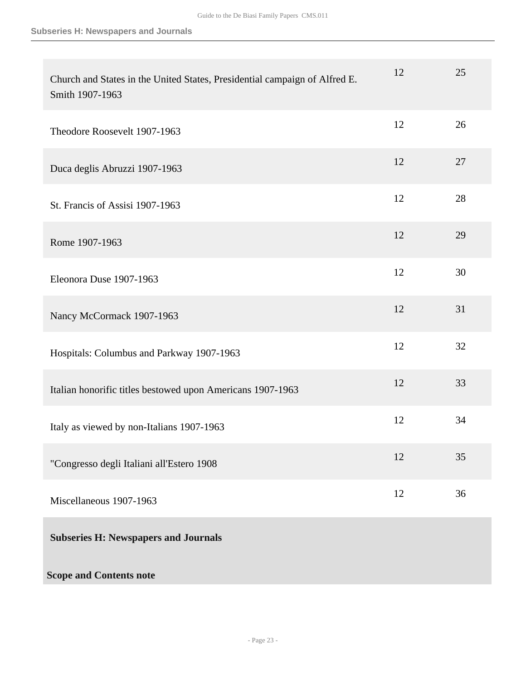| Church and States in the United States, Presidential campaign of Alfred E.<br>Smith 1907-1963 | 12 | 25 |
|-----------------------------------------------------------------------------------------------|----|----|
| Theodore Roosevelt 1907-1963                                                                  | 12 | 26 |
| Duca deglis Abruzzi 1907-1963                                                                 | 12 | 27 |
| St. Francis of Assisi 1907-1963                                                               | 12 | 28 |
| Rome 1907-1963                                                                                | 12 | 29 |
| Eleonora Duse 1907-1963                                                                       | 12 | 30 |
| Nancy McCormack 1907-1963                                                                     | 12 | 31 |
| Hospitals: Columbus and Parkway 1907-1963                                                     | 12 | 32 |
| Italian honorific titles bestowed upon Americans 1907-1963                                    | 12 | 33 |
| Italy as viewed by non-Italians 1907-1963                                                     | 12 | 34 |
| "Congresso degli Italiani all'Estero 1908                                                     | 12 | 35 |
| Miscellaneous 1907-1963                                                                       | 12 | 36 |
| <b>Subseries H: Newspapers and Journals</b>                                                   |    |    |
| <b>Scope and Contents note</b>                                                                |    |    |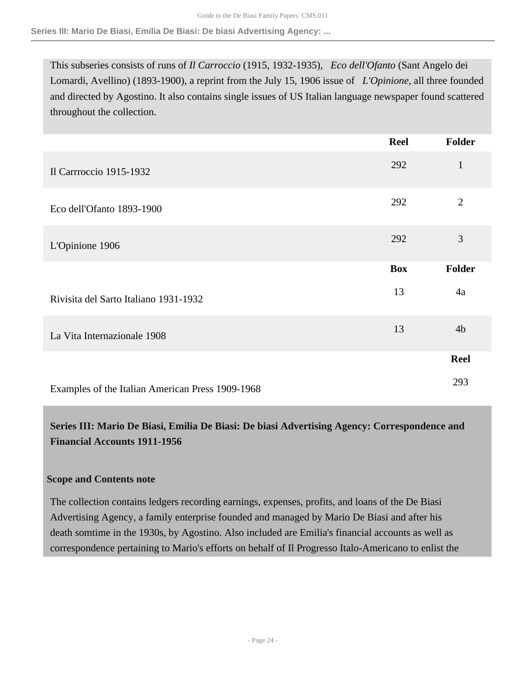#### **Series III: Mario De Biasi, Emilia De Biasi: De biasi Advertising Agency: ...**

This subseries consists of runs of *Il Carroccio* (1915, 1932-1935), *Eco dell'Ofanto* (Sant Angelo dei Lomardi, Avellino) (1893-1900), a reprint from the July 15, 1906 issue of *L'Opinione*, all three founded and directed by Agostino. It also contains single issues of US Italian language newspaper found scattered throughout the collection.

|                                                  | <b>Reel</b> | <b>Folder</b>  |
|--------------------------------------------------|-------------|----------------|
| Il Carrroccio 1915-1932                          | 292         | $\mathbf{1}$   |
| Eco dell'Ofanto 1893-1900                        | 292         | $\overline{2}$ |
| L'Opinione 1906                                  | 292         | 3              |
|                                                  | <b>Box</b>  | <b>Folder</b>  |
| Rivisita del Sarto Italiano 1931-1932            | 13          | 4a             |
| La Vita Internazionale 1908                      | 13          | 4 <sub>b</sub> |
|                                                  |             | <b>Reel</b>    |
| Examples of the Italian American Press 1909-1968 |             | 293            |

## <span id="page-23-0"></span>**Series III: Mario De Biasi, Emilia De Biasi: De biasi Advertising Agency: Correspondence and Financial Accounts 1911-1956**

#### **Scope and Contents note**

The collection contains ledgers recording earnings, expenses, profits, and loans of the De Biasi Advertising Agency, a family enterprise founded and managed by Mario De Biasi and after his death somtime in the 1930s, by Agostino. Also included are Emilia's financial accounts as well as correspondence pertaining to Mario's efforts on behalf of Il Progresso Italo-Americano to enlist the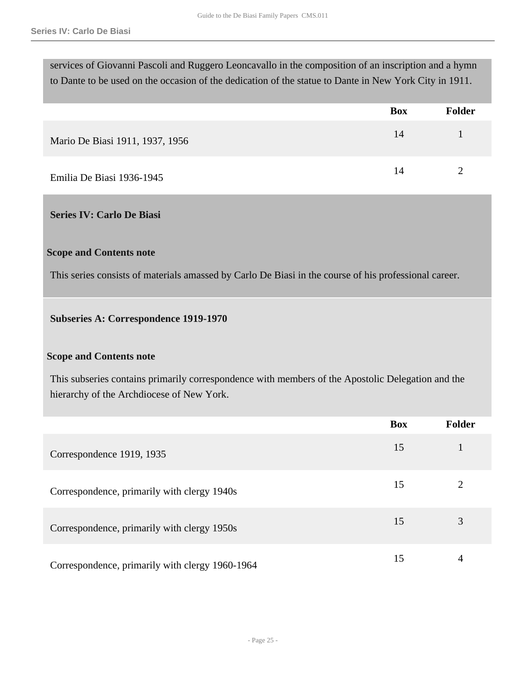services of Giovanni Pascoli and Ruggero Leoncavallo in the composition of an inscription and a hymn to Dante to be used on the occasion of the dedication of the statue to Dante in New York City in 1911.

|                                 | <b>Box</b> | <b>Folder</b> |
|---------------------------------|------------|---------------|
| Mario De Biasi 1911, 1937, 1956 | 14         |               |
| Emilia De Biasi 1936-1945       | 14         |               |

#### <span id="page-24-0"></span>**Series IV: Carlo De Biasi**

#### **Scope and Contents note**

This series consists of materials amassed by Carlo De Biasi in the course of his professional career.

#### **Subseries A: Correspondence 1919-1970**

#### **Scope and Contents note**

This subseries contains primarily correspondence with members of the Apostolic Delegation and the hierarchy of the Archdiocese of New York.

|                                                 | <b>Box</b> | <b>Folder</b> |
|-------------------------------------------------|------------|---------------|
| Correspondence 1919, 1935                       | 15         |               |
| Correspondence, primarily with clergy 1940s     | 15         |               |
| Correspondence, primarily with clergy 1950s     | 15         | 3             |
| Correspondence, primarily with clergy 1960-1964 | 15         | 4             |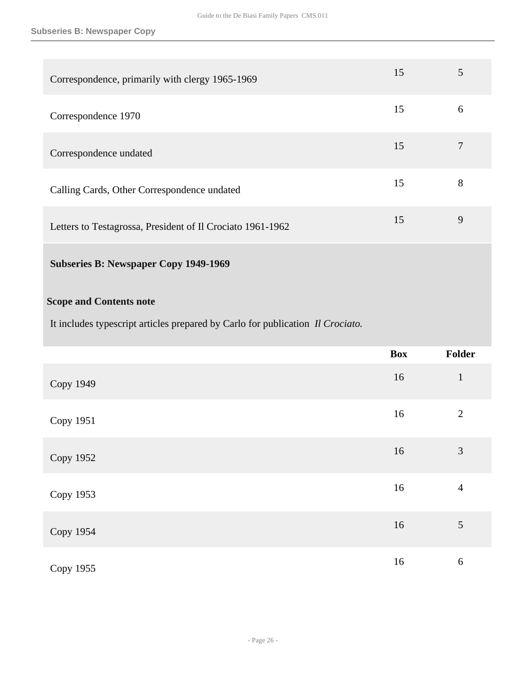| Correspondence, primarily with clergy 1965-1969            | 15 |   |
|------------------------------------------------------------|----|---|
| Correspondence 1970                                        | 15 | 6 |
| Correspondence undated                                     | 15 |   |
| Calling Cards, Other Correspondence undated                | 15 | 8 |
| Letters to Testagrossa, President of Il Crociato 1961-1962 | 15 | 9 |

## **Subseries B: Newspaper Copy 1949-1969**

### **Scope and Contents note**

It includes typescript articles prepared by Carlo for publication *Il Crociato.*

|                  | <b>Box</b> | Folder         |
|------------------|------------|----------------|
| <b>Copy 1949</b> | 16         | $\mathbf{1}$   |
| Copy 1951        | 16         | $\overline{2}$ |
| Copy 1952        | 16         | $\mathfrak{Z}$ |
| Copy 1953        | 16         | $\overline{4}$ |
| <b>Copy 1954</b> | 16         | $\mathfrak{S}$ |
| Copy 1955        | 16         | 6              |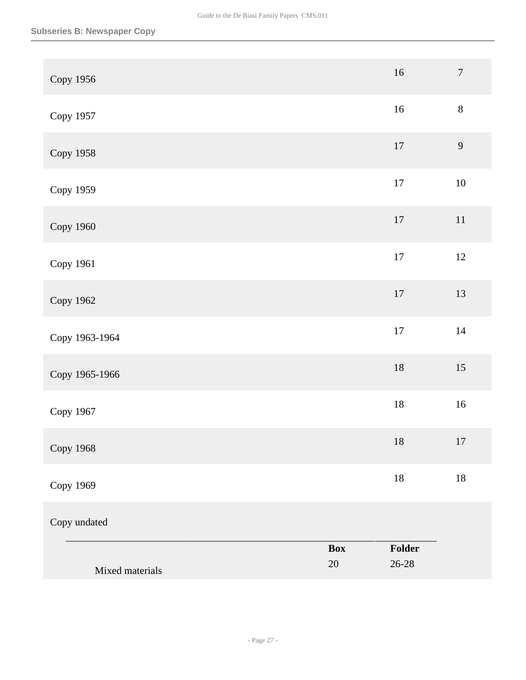| Mixed materials  | <b>Box</b><br>$20\,$ | Folder<br>$26 - 28$ |                  |
|------------------|----------------------|---------------------|------------------|
| Copy undated     |                      |                     |                  |
| Copy 1969        |                      | $18\,$              | $18\,$           |
| <b>Copy 1968</b> |                      | $18\,$              | 17               |
| Copy 1967        |                      | $18\,$              | $16\,$           |
| Copy 1965-1966   |                      | $18\,$              | $15\,$           |
| Copy 1963-1964   |                      | $17\,$              | $14\,$           |
| Copy 1962        |                      | $17\,$              | 13               |
| Copy 1961        |                      | $17\,$              | $12\,$           |
| Copy 1960        |                      | $17\,$              | $11\,$           |
| Copy 1959        |                      | $17\,$              | $10\,$           |
| <b>Copy 1958</b> |                      | $17\,$              | $\overline{9}$   |
| Copy 1957        |                      | $16\,$              | $8\,$            |
| Copy 1956        |                      | $16\,$              | $\boldsymbol{7}$ |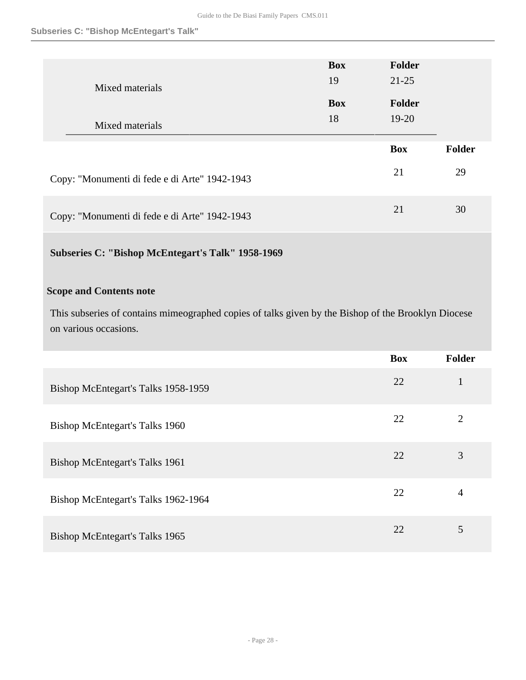#### **Subseries C: "Bishop McEntegart's Talk"**

| Mixed materials                               | <b>Box</b><br>19 | Folder<br>$21 - 25$ |               |
|-----------------------------------------------|------------------|---------------------|---------------|
|                                               | <b>Box</b>       | Folder              |               |
| Mixed materials                               | 18               | $19-20$             |               |
|                                               |                  |                     |               |
|                                               |                  | <b>Box</b>          | <b>Folder</b> |
| Copy: "Monumenti di fede e di Arte" 1942-1943 |                  | 21                  | 29            |

## **Subseries C: "Bishop McEntegart's Talk" 1958-1969**

## **Scope and Contents note**

This subseries of contains mimeographed copies of talks given by the Bishop of the Brooklyn Diocese on various occasions.

|                                     | <b>Box</b> | Folder         |
|-------------------------------------|------------|----------------|
| Bishop McEntegart's Talks 1958-1959 | 22         | $\mathbf{1}$   |
| Bishop McEntegart's Talks 1960      | 22         | $\overline{2}$ |
| Bishop McEntegart's Talks 1961      | 22         | 3              |
| Bishop McEntegart's Talks 1962-1964 | 22         | 4              |
| Bishop McEntegart's Talks 1965      | 22         | 5              |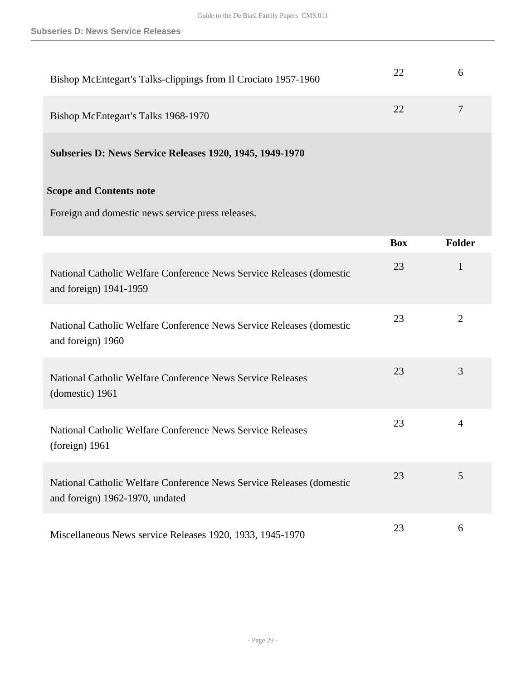| Bishop McEntegart's Talks-clippings from Il Crociato 1957-1960                                          | 22         | 6              |
|---------------------------------------------------------------------------------------------------------|------------|----------------|
| Bishop McEntegart's Talks 1968-1970                                                                     | 22         | $\overline{7}$ |
| Subseries D: News Service Releases 1920, 1945, 1949-1970                                                |            |                |
| <b>Scope and Contents note</b><br>Foreign and domestic news service press releases.                     |            |                |
|                                                                                                         | <b>Box</b> | <b>Folder</b>  |
| National Catholic Welfare Conference News Service Releases (domestic<br>and foreign) 1941-1959          | 23         | $\mathbf{1}$   |
| National Catholic Welfare Conference News Service Releases (domestic<br>and foreign) 1960               | 23         | $\overline{2}$ |
| National Catholic Welfare Conference News Service Releases<br>(domestic) 1961                           | 23         | 3              |
| National Catholic Welfare Conference News Service Releases<br>(foreign) 1961                            | 23         | $\overline{4}$ |
| National Catholic Welfare Conference News Service Releases (domestic<br>and foreign) 1962-1970, undated | 23         | 5              |
| Miscellaneous News service Releases 1920, 1933, 1945-1970                                               | 23         | 6              |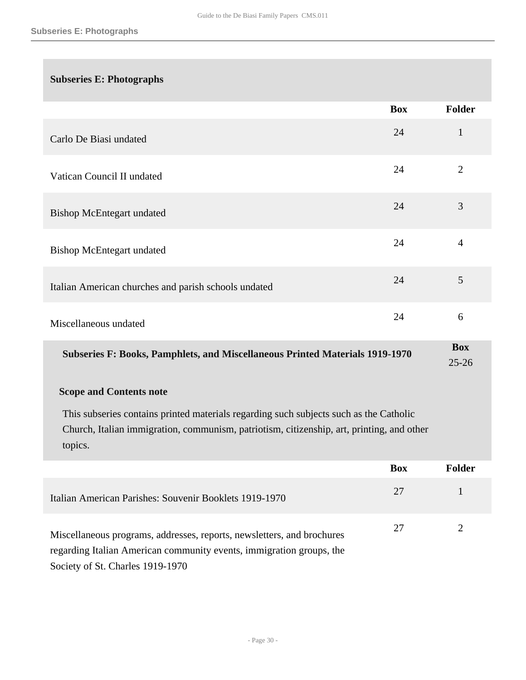## **Subseries E: Photographs**

|                                                      | <b>Box</b> | <b>Folder</b>  |
|------------------------------------------------------|------------|----------------|
| Carlo De Biasi undated                               | 24         | $\mathbf{1}$   |
| Vatican Council II undated                           | 24         | $\overline{2}$ |
| <b>Bishop McEntegart undated</b>                     | 24         | 3              |
| <b>Bishop McEntegart undated</b>                     | 24         | $\overline{4}$ |
| Italian American churches and parish schools undated | 24         | 5              |
| Miscellaneous undated                                | 24         | 6              |
|                                                      |            | <b>Box</b>     |

**Subseries F: Books, Pamphlets, and Miscellaneous Printed Materials 1919-1970** 

## 25-26

#### **Scope and Contents note**

This subseries contains printed materials regarding such subjects such as the Catholic Church, Italian immigration, communism, patriotism, citizenship, art, printing, and other topics.

|                                                                                                                                                | <b>Box</b> | Folder |
|------------------------------------------------------------------------------------------------------------------------------------------------|------------|--------|
| Italian American Parishes: Souvenir Booklets 1919-1970                                                                                         | 27         |        |
| Miscellaneous programs, addresses, reports, newsletters, and brochures<br>regarding Italian American community events, immigration groups, the | 27         |        |
| Society of St. Charles 1919-1970                                                                                                               |            |        |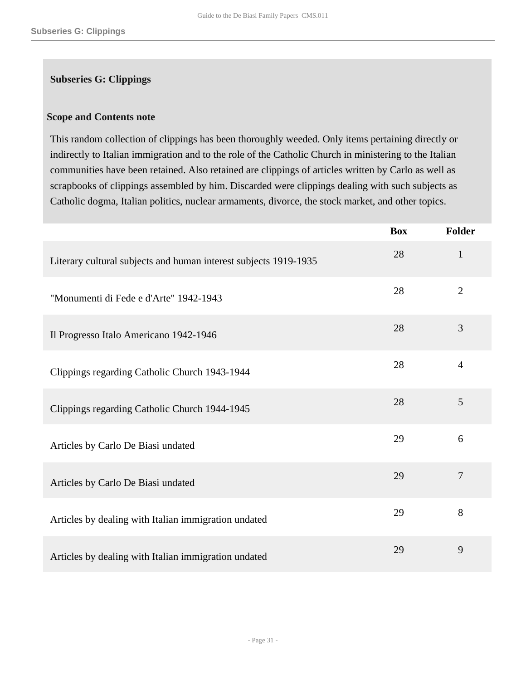#### **Subseries G: Clippings**

#### **Scope and Contents note**

This random collection of clippings has been thoroughly weeded. Only items pertaining directly or indirectly to Italian immigration and to the role of the Catholic Church in ministering to the Italian communities have been retained. Also retained are clippings of articles written by Carlo as well as scrapbooks of clippings assembled by him. Discarded were clippings dealing with such subjects as Catholic dogma, Italian politics, nuclear armaments, divorce, the stock market, and other topics.

|                                                                  | <b>Box</b> | <b>Folder</b>  |
|------------------------------------------------------------------|------------|----------------|
| Literary cultural subjects and human interest subjects 1919-1935 | 28         | $\mathbf{1}$   |
| "Monumenti di Fede e d'Arte" 1942-1943                           | 28         | $\overline{2}$ |
| Il Progresso Italo Americano 1942-1946                           | 28         | 3              |
| Clippings regarding Catholic Church 1943-1944                    | 28         | $\overline{4}$ |
| Clippings regarding Catholic Church 1944-1945                    | 28         | 5              |
| Articles by Carlo De Biasi undated                               | 29         | 6              |
| Articles by Carlo De Biasi undated                               | 29         | $\overline{7}$ |
| Articles by dealing with Italian immigration undated             | 29         | 8              |
| Articles by dealing with Italian immigration undated             | 29         | 9              |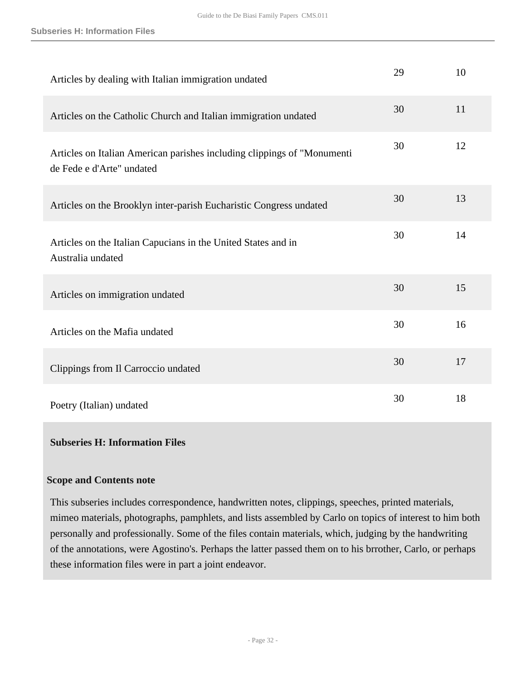| Articles by dealing with Italian immigration undated                                                 | 29 | 10 |
|------------------------------------------------------------------------------------------------------|----|----|
| Articles on the Catholic Church and Italian immigration undated                                      | 30 | 11 |
| Articles on Italian American parishes including clippings of "Monumenti<br>de Fede e d'Arte" undated | 30 | 12 |
| Articles on the Brooklyn inter-parish Eucharistic Congress undated                                   | 30 | 13 |
| Articles on the Italian Capucians in the United States and in<br>Australia undated                   | 30 | 14 |
| Articles on immigration undated                                                                      | 30 | 15 |
| Articles on the Mafia undated                                                                        | 30 | 16 |
| Clippings from Il Carroccio undated                                                                  | 30 | 17 |
| Poetry (Italian) undated                                                                             | 30 | 18 |

#### **Subseries H: Information Files**

#### **Scope and Contents note**

This subseries includes correspondence, handwritten notes, clippings, speeches, printed materials, mimeo materials, photographs, pamphlets, and lists assembled by Carlo on topics of interest to him both personally and professionally. Some of the files contain materials, which, judging by the handwriting of the annotations, were Agostino's. Perhaps the latter passed them on to his brrother, Carlo, or perhaps these information files were in part a joint endeavor.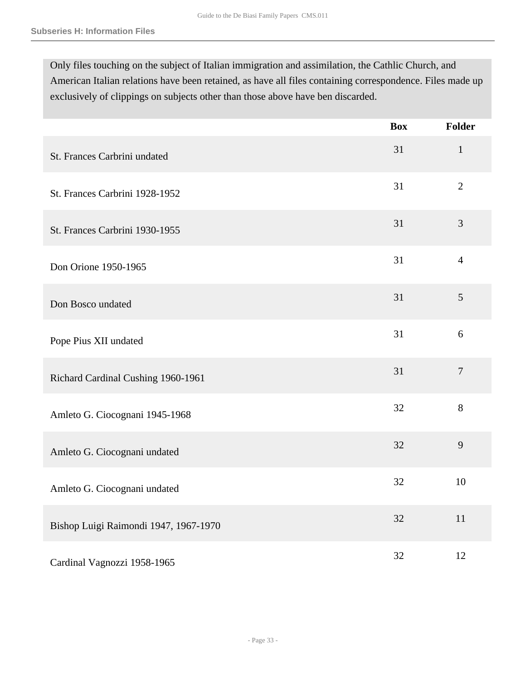Only files touching on the subject of Italian immigration and assimilation, the Cathlic Church, and American Italian relations have been retained, as have all files containing correspondence. Files made up exclusively of clippings on subjects other than those above have ben discarded.

|                                       | <b>Box</b> | <b>Folder</b>  |
|---------------------------------------|------------|----------------|
| St. Frances Carbrini undated          | 31         | $\mathbf{1}$   |
| St. Frances Carbrini 1928-1952        | 31         | $\overline{2}$ |
| St. Frances Carbrini 1930-1955        | 31         | $\mathfrak{Z}$ |
| Don Orione 1950-1965                  | 31         | $\overline{4}$ |
| Don Bosco undated                     | 31         | 5              |
| Pope Pius XII undated                 | 31         | 6              |
| Richard Cardinal Cushing 1960-1961    | 31         | $\overline{7}$ |
| Amleto G. Ciocognani 1945-1968        | 32         | 8              |
| Amleto G. Ciocognani undated          | 32         | 9              |
| Amleto G. Ciocognani undated          | 32         | 10             |
| Bishop Luigi Raimondi 1947, 1967-1970 | 32         | 11             |
| Cardinal Vagnozzi 1958-1965           | 32         | 12             |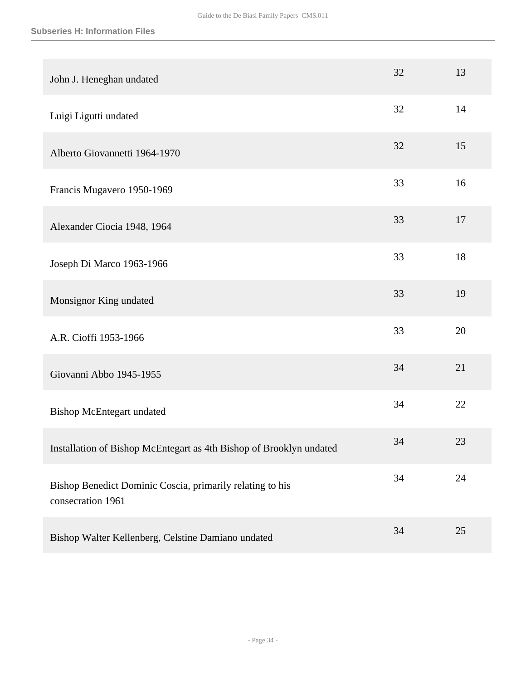| John J. Heneghan undated                                                       | 32 | 13     |
|--------------------------------------------------------------------------------|----|--------|
| Luigi Ligutti undated                                                          | 32 | 14     |
| Alberto Giovannetti 1964-1970                                                  | 32 | 15     |
| Francis Mugavero 1950-1969                                                     | 33 | 16     |
| Alexander Ciocia 1948, 1964                                                    | 33 | 17     |
| Joseph Di Marco 1963-1966                                                      | 33 | 18     |
| Monsignor King undated                                                         | 33 | 19     |
| A.R. Cioffi 1953-1966                                                          | 33 | 20     |
| Giovanni Abbo 1945-1955                                                        | 34 | 21     |
| <b>Bishop McEntegart undated</b>                                               | 34 | 22     |
| Installation of Bishop McEntegart as 4th Bishop of Brooklyn undated            | 34 | 23     |
| Bishop Benedict Dominic Coscia, primarily relating to his<br>consecration 1961 | 34 | $24\,$ |
| Bishop Walter Kellenberg, Celstine Damiano undated                             | 34 | 25     |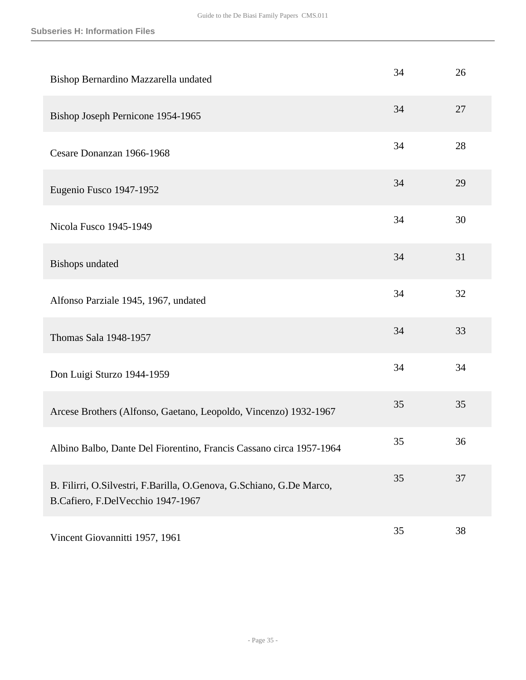| Bishop Bernardino Mazzarella undated                                                                      | 34 | 26 |
|-----------------------------------------------------------------------------------------------------------|----|----|
| Bishop Joseph Pernicone 1954-1965                                                                         | 34 | 27 |
| Cesare Donanzan 1966-1968                                                                                 | 34 | 28 |
| Eugenio Fusco 1947-1952                                                                                   | 34 | 29 |
| Nicola Fusco 1945-1949                                                                                    | 34 | 30 |
| <b>Bishops</b> undated                                                                                    | 34 | 31 |
| Alfonso Parziale 1945, 1967, undated                                                                      | 34 | 32 |
| Thomas Sala 1948-1957                                                                                     | 34 | 33 |
| Don Luigi Sturzo 1944-1959                                                                                | 34 | 34 |
| Arcese Brothers (Alfonso, Gaetano, Leopoldo, Vincenzo) 1932-1967                                          | 35 | 35 |
| Albino Balbo, Dante Del Fiorentino, Francis Cassano circa 1957-1964                                       | 35 | 36 |
| B. Filirri, O.Silvestri, F.Barilla, O.Genova, G.Schiano, G.De Marco,<br>B.Cafiero, F.DelVecchio 1947-1967 | 35 | 37 |
| Vincent Giovannitti 1957, 1961                                                                            | 35 | 38 |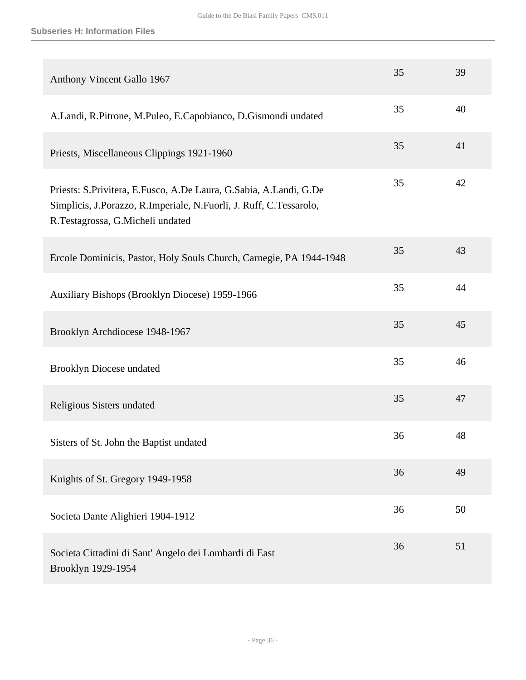| Anthony Vincent Gallo 1967                                                                                                                                                        | 35 | 39 |
|-----------------------------------------------------------------------------------------------------------------------------------------------------------------------------------|----|----|
| A.Landi, R.Pitrone, M.Puleo, E.Capobianco, D.Gismondi undated                                                                                                                     | 35 | 40 |
| Priests, Miscellaneous Clippings 1921-1960                                                                                                                                        | 35 | 41 |
| Priests: S. Privitera, E. Fusco, A. De Laura, G. Sabia, A. Landi, G. De<br>Simplicis, J.Porazzo, R.Imperiale, N.Fuorli, J. Ruff, C.Tessarolo,<br>R.Testagrossa, G.Micheli undated | 35 | 42 |
| Ercole Dominicis, Pastor, Holy Souls Church, Carnegie, PA 1944-1948                                                                                                               | 35 | 43 |
| Auxiliary Bishops (Brooklyn Diocese) 1959-1966                                                                                                                                    | 35 | 44 |
| Brooklyn Archdiocese 1948-1967                                                                                                                                                    | 35 | 45 |
| <b>Brooklyn Diocese undated</b>                                                                                                                                                   | 35 | 46 |
| Religious Sisters undated                                                                                                                                                         | 35 | 47 |
| Sisters of St. John the Baptist undated                                                                                                                                           | 36 | 48 |
| Knights of St. Gregory 1949-1958                                                                                                                                                  | 36 | 49 |
| Societa Dante Alighieri 1904-1912                                                                                                                                                 | 36 | 50 |
| Societa Cittadini di Sant' Angelo dei Lombardi di East<br>Brooklyn 1929-1954                                                                                                      | 36 | 51 |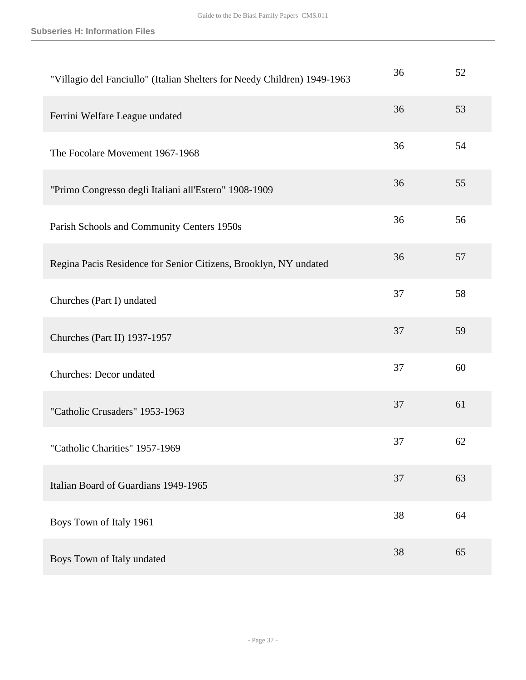| "Villagio del Fanciullo" (Italian Shelters for Needy Children) 1949-1963 | 36 | 52 |
|--------------------------------------------------------------------------|----|----|
| Ferrini Welfare League undated                                           | 36 | 53 |
| The Focolare Movement 1967-1968                                          | 36 | 54 |
| "Primo Congresso degli Italiani all'Estero" 1908-1909                    | 36 | 55 |
| Parish Schools and Community Centers 1950s                               | 36 | 56 |
| Regina Pacis Residence for Senior Citizens, Brooklyn, NY undated         | 36 | 57 |
| Churches (Part I) undated                                                | 37 | 58 |
| Churches (Part II) 1937-1957                                             | 37 | 59 |
| Churches: Decor undated                                                  | 37 | 60 |
| "Catholic Crusaders" 1953-1963                                           | 37 | 61 |
| "Catholic Charities" 1957-1969                                           | 37 | 62 |
| Italian Board of Guardians 1949-1965                                     | 37 | 63 |
| Boys Town of Italy 1961                                                  | 38 | 64 |
| Boys Town of Italy undated                                               | 38 | 65 |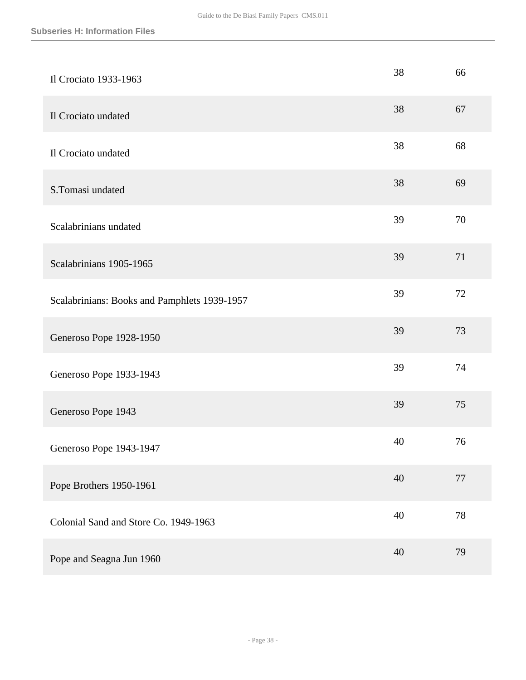| Il Crociato 1933-1963                        | 38 | 66     |
|----------------------------------------------|----|--------|
| Il Crociato undated                          | 38 | 67     |
| Il Crociato undated                          | 38 | 68     |
| S.Tomasi undated                             | 38 | 69     |
| Scalabrinians undated                        | 39 | 70     |
| Scalabrinians 1905-1965                      | 39 | 71     |
| Scalabrinians: Books and Pamphlets 1939-1957 | 39 | 72     |
| Generoso Pope 1928-1950                      | 39 | 73     |
| Generoso Pope 1933-1943                      | 39 | 74     |
| Generoso Pope 1943                           | 39 | 75     |
| Generoso Pope 1943-1947                      | 40 | 76     |
| Pope Brothers 1950-1961                      | 40 | $77\,$ |
| Colonial Sand and Store Co. 1949-1963        | 40 | 78     |
| Pope and Seagna Jun 1960                     | 40 | 79     |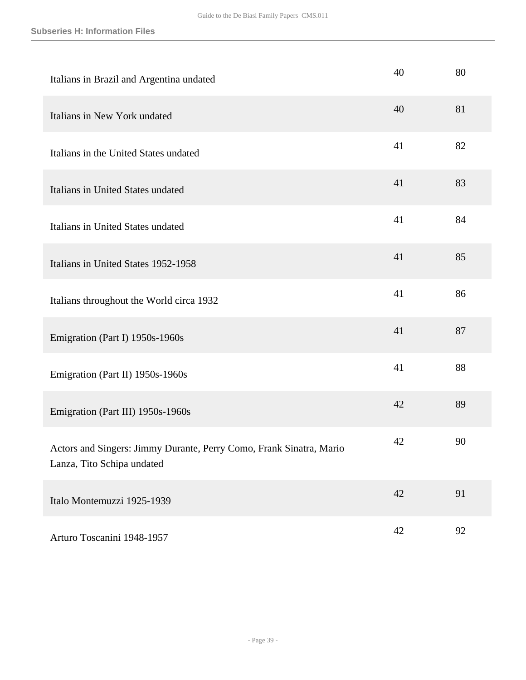| Italians in Brazil and Argentina undated                                                          | 40 | 80 |
|---------------------------------------------------------------------------------------------------|----|----|
| Italians in New York undated                                                                      | 40 | 81 |
| Italians in the United States undated                                                             | 41 | 82 |
| Italians in United States undated                                                                 | 41 | 83 |
| Italians in United States undated                                                                 | 41 | 84 |
| Italians in United States 1952-1958                                                               | 41 | 85 |
| Italians throughout the World circa 1932                                                          | 41 | 86 |
| Emigration (Part I) 1950s-1960s                                                                   | 41 | 87 |
| Emigration (Part II) 1950s-1960s                                                                  | 41 | 88 |
| Emigration (Part III) 1950s-1960s                                                                 | 42 | 89 |
| Actors and Singers: Jimmy Durante, Perry Como, Frank Sinatra, Mario<br>Lanza, Tito Schipa undated | 42 | 90 |
| Italo Montemuzzi 1925-1939                                                                        | 42 | 91 |
| Arturo Toscanini 1948-1957                                                                        | 42 | 92 |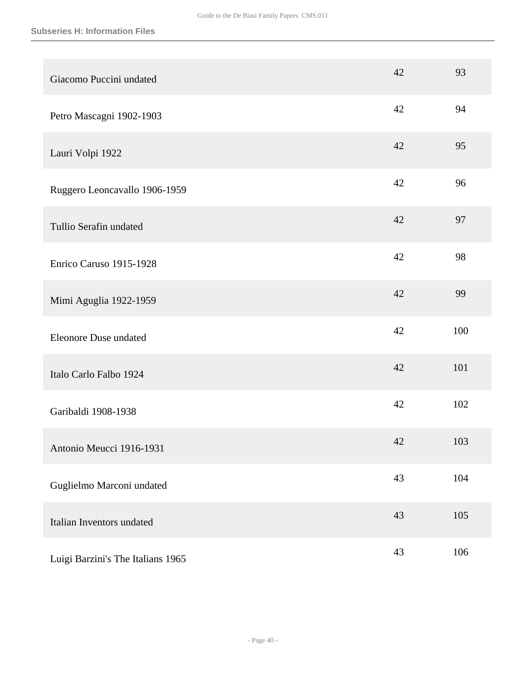| Giacomo Puccini undated           | 42 | 93  |
|-----------------------------------|----|-----|
| Petro Mascagni 1902-1903          | 42 | 94  |
| Lauri Volpi 1922                  | 42 | 95  |
| Ruggero Leoncavallo 1906-1959     | 42 | 96  |
| Tullio Serafin undated            | 42 | 97  |
| Enrico Caruso 1915-1928           | 42 | 98  |
| Mimi Aguglia 1922-1959            | 42 | 99  |
| <b>Eleonore Duse undated</b>      | 42 | 100 |
| Italo Carlo Falbo 1924            | 42 | 101 |
| Garibaldi 1908-1938               | 42 | 102 |
| Antonio Meucci 1916-1931          | 42 | 103 |
| Guglielmo Marconi undated         | 43 | 104 |
| Italian Inventors undated         | 43 | 105 |
| Luigi Barzini's The Italians 1965 | 43 | 106 |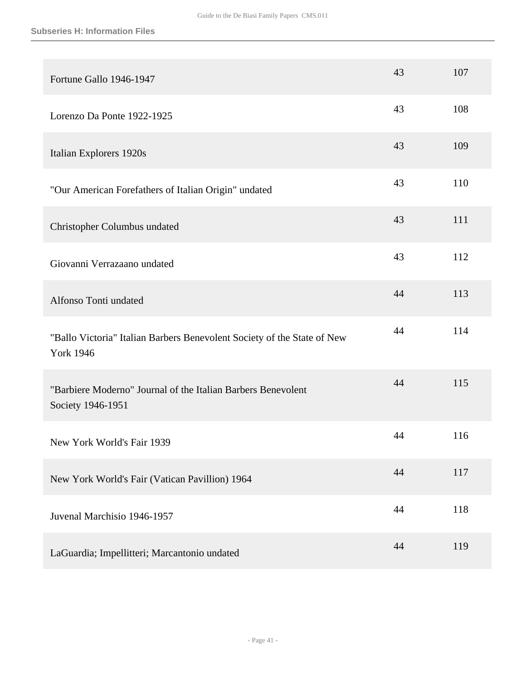| Fortune Gallo 1946-1947                                                                     | 43 | 107 |
|---------------------------------------------------------------------------------------------|----|-----|
| Lorenzo Da Ponte 1922-1925                                                                  | 43 | 108 |
| Italian Explorers 1920s                                                                     | 43 | 109 |
| "Our American Forefathers of Italian Origin" undated                                        | 43 | 110 |
| Christopher Columbus undated                                                                | 43 | 111 |
| Giovanni Verrazaano undated                                                                 | 43 | 112 |
| Alfonso Tonti undated                                                                       | 44 | 113 |
| "Ballo Victoria" Italian Barbers Benevolent Society of the State of New<br><b>York 1946</b> | 44 | 114 |
| "Barbiere Moderno" Journal of the Italian Barbers Benevolent<br>Society 1946-1951           | 44 | 115 |
| New York World's Fair 1939                                                                  | 44 | 116 |
| New York World's Fair (Vatican Pavillion) 1964                                              | 44 | 117 |
| Juvenal Marchisio 1946-1957                                                                 | 44 | 118 |
| LaGuardia; Impellitteri; Marcantonio undated                                                | 44 | 119 |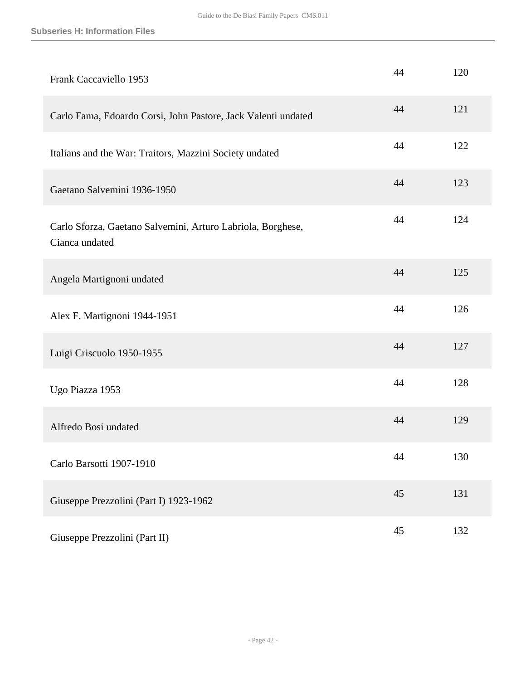| Frank Caccaviello 1953                                                        | 44 | 120 |
|-------------------------------------------------------------------------------|----|-----|
| Carlo Fama, Edoardo Corsi, John Pastore, Jack Valenti undated                 | 44 | 121 |
| Italians and the War: Traitors, Mazzini Society undated                       | 44 | 122 |
| Gaetano Salvemini 1936-1950                                                   | 44 | 123 |
| Carlo Sforza, Gaetano Salvemini, Arturo Labriola, Borghese,<br>Cianca undated | 44 | 124 |
| Angela Martignoni undated                                                     | 44 | 125 |
| Alex F. Martignoni 1944-1951                                                  | 44 | 126 |
| Luigi Criscuolo 1950-1955                                                     | 44 | 127 |
| Ugo Piazza 1953                                                               | 44 | 128 |
| Alfredo Bosi undated                                                          | 44 | 129 |
| Carlo Barsotti 1907-1910                                                      | 44 | 130 |
| Giuseppe Prezzolini (Part I) 1923-1962                                        | 45 | 131 |
| Giuseppe Prezzolini (Part II)                                                 | 45 | 132 |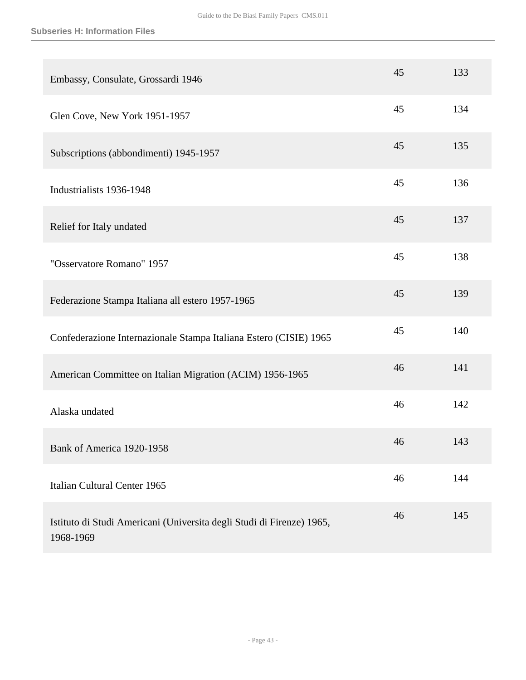| Embassy, Consulate, Grossardi 1946                                                 | 45 | 133 |
|------------------------------------------------------------------------------------|----|-----|
| Glen Cove, New York 1951-1957                                                      | 45 | 134 |
| Subscriptions (abbondimenti) 1945-1957                                             | 45 | 135 |
| Industrialists 1936-1948                                                           | 45 | 136 |
| Relief for Italy undated                                                           | 45 | 137 |
| "Osservatore Romano" 1957                                                          | 45 | 138 |
| Federazione Stampa Italiana all estero 1957-1965                                   | 45 | 139 |
| Confederazione Internazionale Stampa Italiana Estero (CISIE) 1965                  | 45 | 140 |
| American Committee on Italian Migration (ACIM) 1956-1965                           | 46 | 141 |
| Alaska undated                                                                     | 46 | 142 |
| Bank of America 1920-1958                                                          | 46 | 143 |
| Italian Cultural Center 1965                                                       | 46 | 144 |
| Istituto di Studi Americani (Universita degli Studi di Firenze) 1965,<br>1968-1969 | 46 | 145 |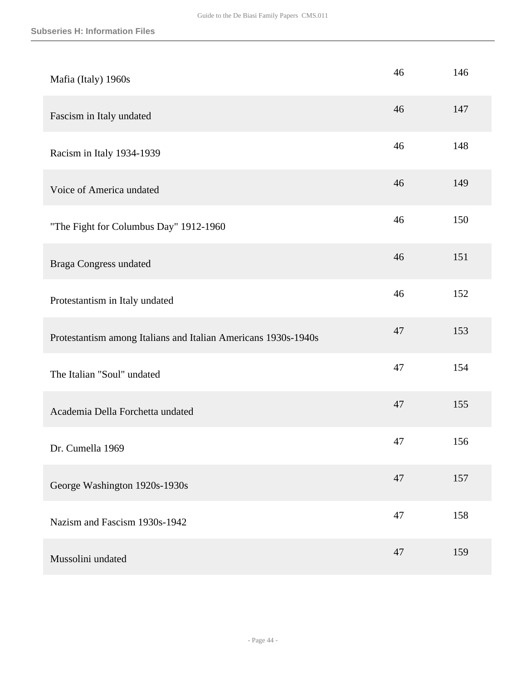| Mafia (Italy) 1960s                                            | 46 | 146 |
|----------------------------------------------------------------|----|-----|
| Fascism in Italy undated                                       | 46 | 147 |
| Racism in Italy 1934-1939                                      | 46 | 148 |
| Voice of America undated                                       | 46 | 149 |
| "The Fight for Columbus Day" 1912-1960                         | 46 | 150 |
| <b>Braga Congress undated</b>                                  | 46 | 151 |
| Protestantism in Italy undated                                 | 46 | 152 |
| Protestantism among Italians and Italian Americans 1930s-1940s | 47 | 153 |
| The Italian "Soul" undated                                     | 47 | 154 |
| Academia Della Forchetta undated                               | 47 | 155 |
| Dr. Cumella 1969                                               | 47 | 156 |
| George Washington 1920s-1930s                                  | 47 | 157 |
| Nazism and Fascism 1930s-1942                                  | 47 | 158 |
| Mussolini undated                                              | 47 | 159 |